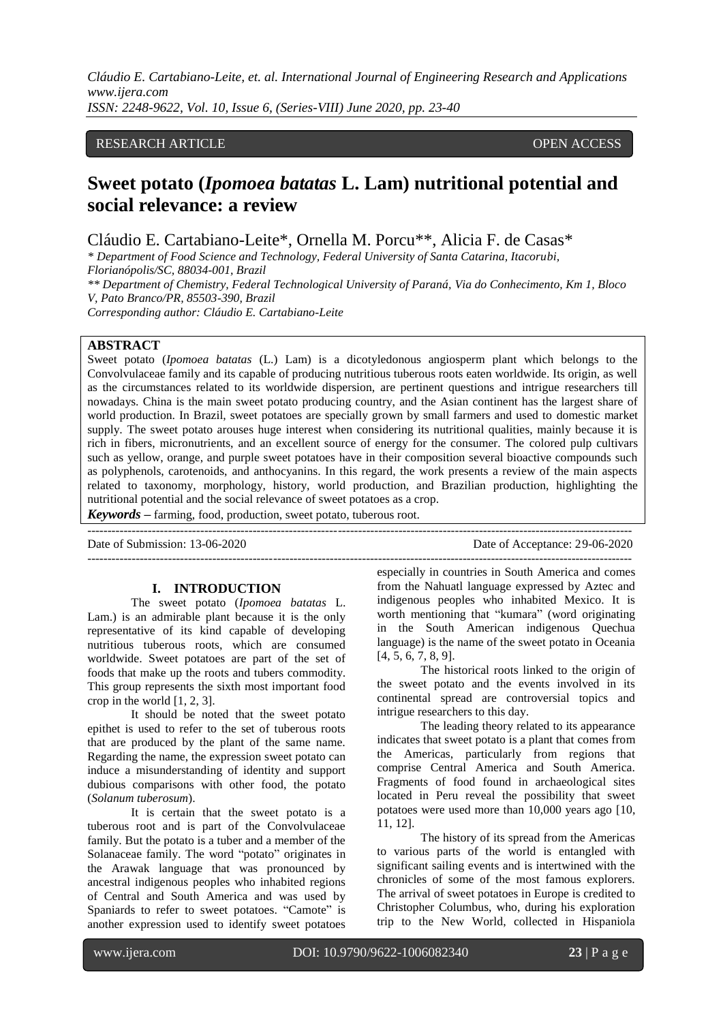#### RESEARCH ARTICLE **OPEN ACCESS**

# **Sweet potato (***Ipomoea batatas* **L. Lam) nutritional potential and social relevance: a review**

Cláudio E. Cartabiano-Leite\*, Ornella M. Porcu\*\*, Alicia F. de Casas\*

*\* Department of Food Science and Technology, Federal University of Santa Catarina, Itacorubi, Florianópolis/SC, 88034-001, Brazil \*\* Department of Chemistry, Federal Technological University of Paraná, Via do Conhecimento, Km 1, Bloco V, Pato Branco/PR, 85503-390, Brazil* 

*Corresponding author: Cláudio E. Cartabiano-Leite*

#### **ABSTRACT**

Sweet potato (*Ipomoea batatas* (L.) Lam) is a dicotyledonous angiosperm plant which belongs to the Convolvulaceae family and its capable of producing nutritious tuberous roots eaten worldwide. Its origin, as well as the circumstances related to its worldwide dispersion, are pertinent questions and intrigue researchers till nowadays. China is the main sweet potato producing country, and the Asian continent has the largest share of world production. In Brazil, sweet potatoes are specially grown by small farmers and used to domestic market supply. The sweet potato arouses huge interest when considering its nutritional qualities, mainly because it is rich in fibers, micronutrients, and an excellent source of energy for the consumer. The colored pulp cultivars such as yellow, orange, and purple sweet potatoes have in their composition several bioactive compounds such as polyphenols, carotenoids, and anthocyanins. In this regard, the work presents a review of the main aspects related to taxonomy, morphology, history, world production, and Brazilian production, highlighting the nutritional potential and the social relevance of sweet potatoes as a crop.

---------------------------------------------------------------------------------------------------------------------------------------

*Keywords* **–** farming, food, production, sweet potato, tuberous root.

Date of Submission: 13-06-2020 Date of Acceptance: 29-06-2020 ---------------------------------------------------------------------------------------------------------------------------------------

#### **I. INTRODUCTION**

The sweet potato (*Ipomoea batatas* L. Lam.) is an admirable plant because it is the only representative of its kind capable of developing nutritious tuberous roots, which are consumed worldwide. Sweet potatoes are part of the set of foods that make up the roots and tubers commodity. This group represents the sixth most important food crop in the world [1, 2, 3].

It should be noted that the sweet potato epithet is used to refer to the set of tuberous roots that are produced by the plant of the same name. Regarding the name, the expression sweet potato can induce a misunderstanding of identity and support dubious comparisons with other food, the potato (*Solanum tuberosum*).

It is certain that the sweet potato is a tuberous root and is part of the Convolvulaceae family. But the potato is a tuber and a member of the Solanaceae family. The word "potato" originates in the Arawak language that was pronounced by ancestral indigenous peoples who inhabited regions of Central and South America and was used by Spaniards to refer to sweet potatoes. "Camote" is another expression used to identify sweet potatoes

especially in countries in South America and comes from the Nahuatl language expressed by Aztec and indigenous peoples who inhabited Mexico. It is worth mentioning that "kumara" (word originating in the South American indigenous Quechua language) is the name of the sweet potato in Oceania [4, 5, 6, 7, 8, 9].

The historical roots linked to the origin of the sweet potato and the events involved in its continental spread are controversial topics and intrigue researchers to this day.

The leading theory related to its appearance indicates that sweet potato is a plant that comes from the Americas, particularly from regions that comprise Central America and South America. Fragments of food found in archaeological sites located in Peru reveal the possibility that sweet potatoes were used more than 10,000 years ago [10, 11, 12].

The history of its spread from the Americas to various parts of the world is entangled with significant sailing events and is intertwined with the chronicles of some of the most famous explorers. The arrival of sweet potatoes in Europe is credited to Christopher Columbus, who, during his exploration trip to the New World, collected in Hispaniola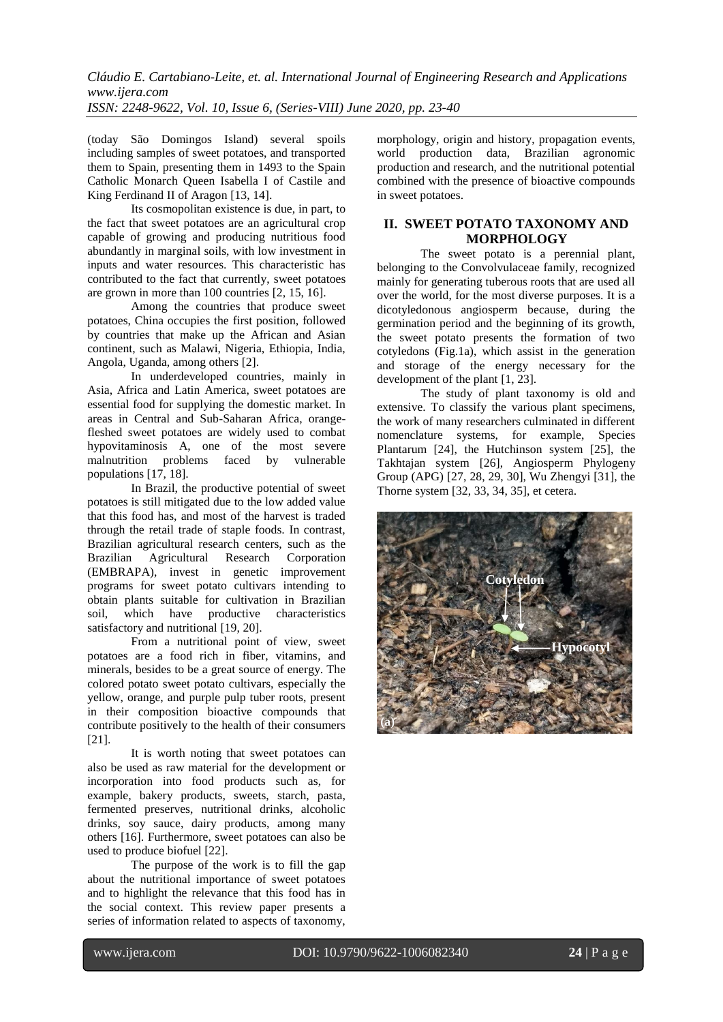(today São Domingos Island) several spoils including samples of sweet potatoes, and transported them to Spain, presenting them in 1493 to the Spain Catholic Monarch Queen Isabella I of Castile and King Ferdinand II of Aragon [13, 14].

Its cosmopolitan existence is due, in part, to the fact that sweet potatoes are an agricultural crop capable of growing and producing nutritious food abundantly in marginal soils, with low investment in inputs and water resources. This characteristic has contributed to the fact that currently, sweet potatoes are grown in more than 100 countries [2, 15, 16].

Among the countries that produce sweet potatoes, China occupies the first position, followed by countries that make up the African and Asian continent, such as Malawi, Nigeria, Ethiopia, India, Angola, Uganda, among others [2].

In underdeveloped countries, mainly in Asia, Africa and Latin America, sweet potatoes are essential food for supplying the domestic market. In areas in Central and Sub-Saharan Africa, orangefleshed sweet potatoes are widely used to combat hypovitaminosis A, one of the most severe malnutrition problems faced by vulnerable populations [17, 18].

In Brazil, the productive potential of sweet potatoes is still mitigated due to the low added value that this food has, and most of the harvest is traded through the retail trade of staple foods. In contrast, Brazilian agricultural research centers, such as the Brazilian Agricultural Research Corporation (EMBRAPA), invest in genetic improvement programs for sweet potato cultivars intending to obtain plants suitable for cultivation in Brazilian soil, which have productive characteristics satisfactory and nutritional [19, 20].

From a nutritional point of view, sweet potatoes are a food rich in fiber, vitamins, and minerals, besides to be a great source of energy. The colored potato sweet potato cultivars, especially the yellow, orange, and purple pulp tuber roots, present in their composition bioactive compounds that contribute positively to the health of their consumers [21].

It is worth noting that sweet potatoes can also be used as raw material for the development or incorporation into food products such as, for example, bakery products, sweets, starch, pasta, fermented preserves, nutritional drinks, alcoholic drinks, soy sauce, dairy products, among many others [16]. Furthermore, sweet potatoes can also be used to produce biofuel [22].

The purpose of the work is to fill the gap about the nutritional importance of sweet potatoes and to highlight the relevance that this food has in the social context. This review paper presents a series of information related to aspects of taxonomy,

morphology, origin and history, propagation events, world production data, Brazilian agronomic production and research, and the nutritional potential combined with the presence of bioactive compounds in sweet potatoes.

#### **II. SWEET POTATO TAXONOMY AND MORPHOLOGY**

The sweet potato is a perennial plant, belonging to the Convolvulaceae family, recognized mainly for generating tuberous roots that are used all over the world, for the most diverse purposes. It is a dicotyledonous angiosperm because, during the germination period and the beginning of its growth, the sweet potato presents the formation of two cotyledons (Fig.1a), which assist in the generation and storage of the energy necessary for the development of the plant [1, 23].

The study of plant taxonomy is old and extensive. To classify the various plant specimens, the work of many researchers culminated in different nomenclature systems, for example, Species Plantarum [24], the Hutchinson system [25], the Takhtajan system [26], Angiosperm Phylogeny Group (APG) [27, 28, 29, 30], Wu Zhengyi [31], the Thorne system [32, 33, 34, 35], et cetera.

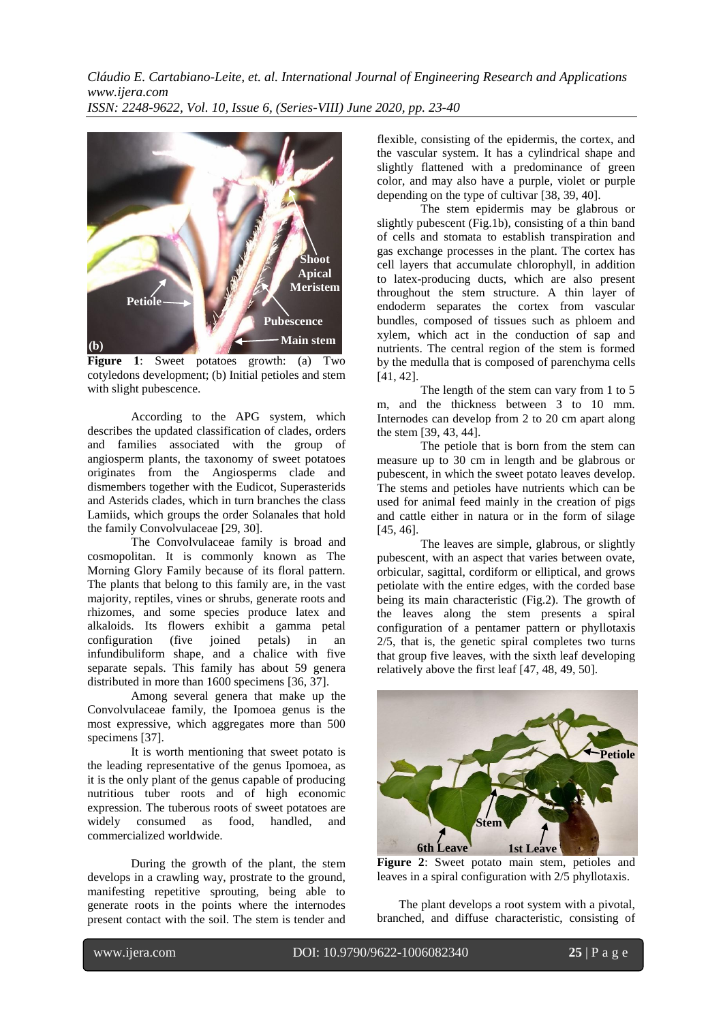

**Figure 1**: Sweet potatoes growth: (a) Two cotyledons development; (b) Initial petioles and stem with slight pubescence.

According to the APG system, which describes the updated classification of clades, orders and families associated with the group of angiosperm plants, the taxonomy of sweet potatoes originates from the Angiosperms clade and dismembers together with the Eudicot, Superasterids and Asterids clades, which in turn branches the class Lamiids, which groups the order Solanales that hold the family Convolvulaceae [29, 30].

The Convolvulaceae family is broad and cosmopolitan. It is commonly known as The Morning Glory Family because of its floral pattern. The plants that belong to this family are, in the vast majority, reptiles, vines or shrubs, generate roots and rhizomes, and some species produce latex and alkaloids. Its flowers exhibit a gamma petal configuration (five joined petals) in an infundibuliform shape, and a chalice with five separate sepals. This family has about 59 genera distributed in more than 1600 specimens [36, 37].

Among several genera that make up the Convolvulaceae family, the Ipomoea genus is the most expressive, which aggregates more than 500 specimens [37].

It is worth mentioning that sweet potato is the leading representative of the genus Ipomoea, as it is the only plant of the genus capable of producing nutritious tuber roots and of high economic expression. The tuberous roots of sweet potatoes are widely consumed as food, handled, and commercialized worldwide.

During the growth of the plant, the stem develops in a crawling way, prostrate to the ground, manifesting repetitive sprouting, being able to generate roots in the points where the internodes present contact with the soil. The stem is tender and

flexible, consisting of the epidermis, the cortex, and the vascular system. It has a cylindrical shape and slightly flattened with a predominance of green color, and may also have a purple, violet or purple depending on the type of cultivar [38, 39, 40].

The stem epidermis may be glabrous or slightly pubescent (Fig.1b), consisting of a thin band of cells and stomata to establish transpiration and gas exchange processes in the plant. The cortex has cell layers that accumulate chlorophyll, in addition to latex-producing ducts, which are also present throughout the stem structure. A thin layer of endoderm separates the cortex from vascular bundles, composed of tissues such as phloem and xylem, which act in the conduction of sap and nutrients. The central region of the stem is formed by the medulla that is composed of parenchyma cells [41, 42].

The length of the stem can vary from 1 to 5 m, and the thickness between 3 to 10 mm. Internodes can develop from 2 to 20 cm apart along the stem [39, 43, 44].

The petiole that is born from the stem can measure up to 30 cm in length and be glabrous or pubescent, in which the sweet potato leaves develop. The stems and petioles have nutrients which can be used for animal feed mainly in the creation of pigs and cattle either in natura or in the form of silage [45, 46].

The leaves are simple, glabrous, or slightly pubescent, with an aspect that varies between ovate, orbicular, sagittal, cordiform or elliptical, and grows petiolate with the entire edges, with the corded base being its main characteristic (Fig.2). The growth of the leaves along the stem presents a spiral configuration of a pentamer pattern or phyllotaxis 2/5, that is, the genetic spiral completes two turns that group five leaves, with the sixth leaf developing relatively above the first leaf [47, 48, 49, 50].



**Figure 2**: Sweet potato main stem, petioles and leaves in a spiral configuration with 2/5 phyllotaxis.

The plant develops a root system with a pivotal, branched, and diffuse characteristic, consisting of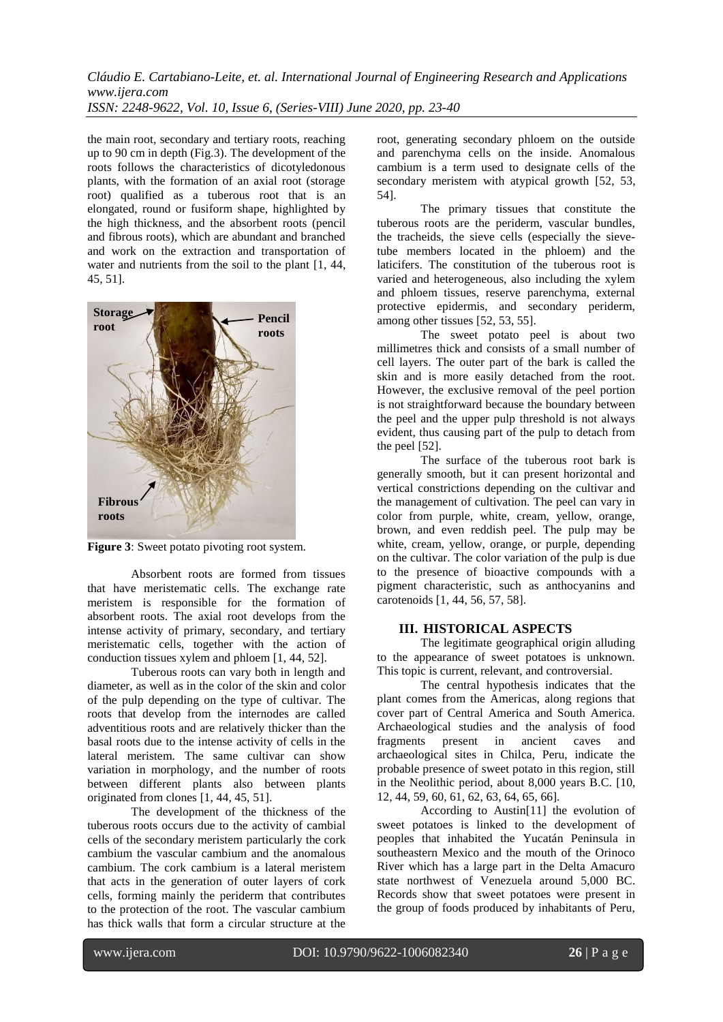the main root, secondary and tertiary roots, reaching up to 90 cm in depth (Fig.3). The development of the roots follows the characteristics of dicotyledonous plants, with the formation of an axial root (storage root) qualified as a tuberous root that is an elongated, round or fusiform shape, highlighted by the high thickness, and the absorbent roots (pencil and fibrous roots), which are abundant and branched and work on the extraction and transportation of water and nutrients from the soil to the plant [1, 44, 45, 51].



**Figure 3**: Sweet potato pivoting root system.

Absorbent roots are formed from tissues that have meristematic cells. The exchange rate meristem is responsible for the formation of absorbent roots. The axial root develops from the intense activity of primary, secondary, and tertiary meristematic cells, together with the action of conduction tissues xylem and phloem [1, 44, 52].

Tuberous roots can vary both in length and diameter, as well as in the color of the skin and color of the pulp depending on the type of cultivar. The roots that develop from the internodes are called adventitious roots and are relatively thicker than the basal roots due to the intense activity of cells in the lateral meristem. The same cultivar can show variation in morphology, and the number of roots between different plants also between plants originated from clones [1, 44, 45, 51].

The development of the thickness of the tuberous roots occurs due to the activity of cambial cells of the secondary meristem particularly the cork cambium the vascular cambium and the anomalous cambium. The cork cambium is a lateral meristem that acts in the generation of outer layers of cork cells, forming mainly the periderm that contributes to the protection of the root. The vascular cambium has thick walls that form a circular structure at the

root, generating secondary phloem on the outside and parenchyma cells on the inside. Anomalous cambium is a term used to designate cells of the secondary meristem with atypical growth [52, 53, 54].

The primary tissues that constitute the tuberous roots are the periderm, vascular bundles, the tracheids, the sieve cells (especially the sievetube members located in the phloem) and the laticifers. The constitution of the tuberous root is varied and heterogeneous, also including the xylem and phloem tissues, reserve parenchyma, external protective epidermis, and secondary periderm, among other tissues [52, 53, 55].

The sweet potato peel is about two millimetres thick and consists of a small number of cell layers. The outer part of the bark is called the skin and is more easily detached from the root. However, the exclusive removal of the peel portion is not straightforward because the boundary between the peel and the upper pulp threshold is not always evident, thus causing part of the pulp to detach from the peel [52].

The surface of the tuberous root bark is generally smooth, but it can present horizontal and vertical constrictions depending on the cultivar and the management of cultivation. The peel can vary in color from purple, white, cream, yellow, orange, brown, and even reddish peel. The pulp may be white, cream, yellow, orange, or purple, depending on the cultivar. The color variation of the pulp is due to the presence of bioactive compounds with a pigment characteristic, such as anthocyanins and carotenoids [1, 44, 56, 57, 58].

#### **III. HISTORICAL ASPECTS**

The legitimate geographical origin alluding to the appearance of sweet potatoes is unknown. This topic is current, relevant, and controversial.

The central hypothesis indicates that the plant comes from the Americas, along regions that cover part of Central America and South America. Archaeological studies and the analysis of food<br>fragments present in ancient caves and fragments present in ancient caves and archaeological sites in Chilca, Peru, indicate the probable presence of sweet potato in this region, still in the Neolithic period, about 8,000 years B.C. [10, 12, 44, 59, 60, 61, 62, 63, 64, 65, 66].

According to Austin[11] the evolution of sweet potatoes is linked to the development of peoples that inhabited the Yucatán Peninsula in southeastern Mexico and the mouth of the Orinoco River which has a large part in the Delta Amacuro state northwest of Venezuela around 5,000 BC. Records show that sweet potatoes were present in the group of foods produced by inhabitants of Peru,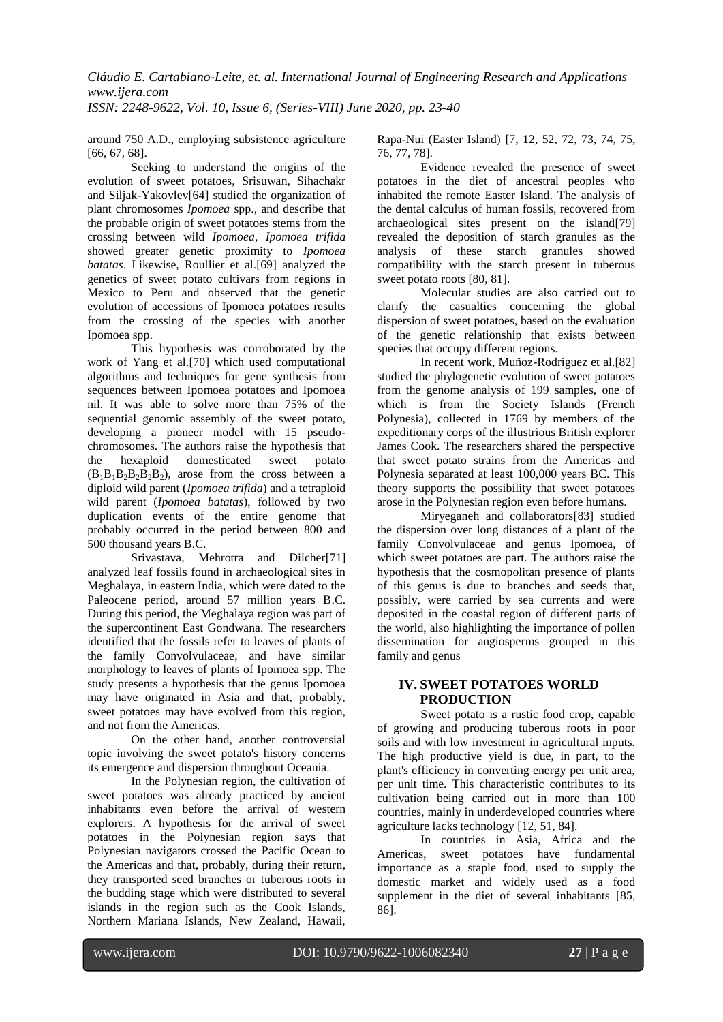around 750 A.D., employing subsistence agriculture [66, 67, 68].

Seeking to understand the origins of the evolution of sweet potatoes, Srisuwan, Sihachakr and Siljak-Yakovlev[64] studied the organization of plant chromosomes *Ipomoea* spp., and describe that the probable origin of sweet potatoes stems from the crossing between wild *Ipomoea*, *Ipomoea trifida* showed greater genetic proximity to *Ipomoea batatas*. Likewise, Roullier et al.[69] analyzed the genetics of sweet potato cultivars from regions in Mexico to Peru and observed that the genetic evolution of accessions of Ipomoea potatoes results from the crossing of the species with another Ipomoea spp.

This hypothesis was corroborated by the work of Yang et al.[70] which used computational algorithms and techniques for gene synthesis from sequences between Ipomoea potatoes and Ipomoea nil. It was able to solve more than 75% of the sequential genomic assembly of the sweet potato, developing a pioneer model with 15 pseudochromosomes. The authors raise the hypothesis that<br>the hexaploid domesticated sweet potato the hexaploid domesticated sweet potato  $(B_1B_1B_2B_2B_2B_2)$ , arose from the cross between a diploid wild parent (*Ipomoea trifida*) and a tetraploid wild parent (*Ipomoea batatas*), followed by two duplication events of the entire genome that probably occurred in the period between 800 and 500 thousand years B.C.

Srivastava, Mehrotra and Dilcher[71] analyzed leaf fossils found in archaeological sites in Meghalaya, in eastern India, which were dated to the Paleocene period, around 57 million years B.C. During this period, the Meghalaya region was part of the supercontinent East Gondwana. The researchers identified that the fossils refer to leaves of plants of the family Convolvulaceae, and have similar morphology to leaves of plants of Ipomoea spp. The study presents a hypothesis that the genus Ipomoea may have originated in Asia and that, probably, sweet potatoes may have evolved from this region, and not from the Americas.

On the other hand, another controversial topic involving the sweet potato's history concerns its emergence and dispersion throughout Oceania.

In the Polynesian region, the cultivation of sweet potatoes was already practiced by ancient inhabitants even before the arrival of western explorers. A hypothesis for the arrival of sweet potatoes in the Polynesian region says that Polynesian navigators crossed the Pacific Ocean to the Americas and that, probably, during their return, they transported seed branches or tuberous roots in the budding stage which were distributed to several islands in the region such as the Cook Islands, Northern Mariana Islands, New Zealand, Hawaii,

Rapa-Nui (Easter Island) [7, 12, 52, 72, 73, 74, 75, 76, 77, 78].

Evidence revealed the presence of sweet potatoes in the diet of ancestral peoples who inhabited the remote Easter Island. The analysis of the dental calculus of human fossils, recovered from archaeological sites present on the island[79] revealed the deposition of starch granules as the analysis of these starch granules showed compatibility with the starch present in tuberous sweet potato roots [80, 81].

Molecular studies are also carried out to clarify the casualties concerning the global dispersion of sweet potatoes, based on the evaluation of the genetic relationship that exists between species that occupy different regions.

In recent work, Muñoz-Rodríguez et al.[82] studied the phylogenetic evolution of sweet potatoes from the genome analysis of 199 samples, one of which is from the Society Islands (French Polynesia), collected in 1769 by members of the expeditionary corps of the illustrious British explorer James Cook. The researchers shared the perspective that sweet potato strains from the Americas and Polynesia separated at least 100,000 years BC. This theory supports the possibility that sweet potatoes arose in the Polynesian region even before humans.

Miryeganeh and collaborators[83] studied the dispersion over long distances of a plant of the family Convolvulaceae and genus Ipomoea, of which sweet potatoes are part. The authors raise the hypothesis that the cosmopolitan presence of plants of this genus is due to branches and seeds that, possibly, were carried by sea currents and were deposited in the coastal region of different parts of the world, also highlighting the importance of pollen dissemination for angiosperms grouped in this family and genus

#### **IV. SWEET POTATOES WORLD PRODUCTION**

Sweet potato is a rustic food crop, capable of growing and producing tuberous roots in poor soils and with low investment in agricultural inputs. The high productive yield is due, in part, to the plant's efficiency in converting energy per unit area, per unit time. This characteristic contributes to its cultivation being carried out in more than 100 countries, mainly in underdeveloped countries where agriculture lacks technology [12, 51, 84].

In countries in Asia, Africa and the Americas, sweet potatoes have fundamental importance as a staple food, used to supply the domestic market and widely used as a food supplement in the diet of several inhabitants [85, 86].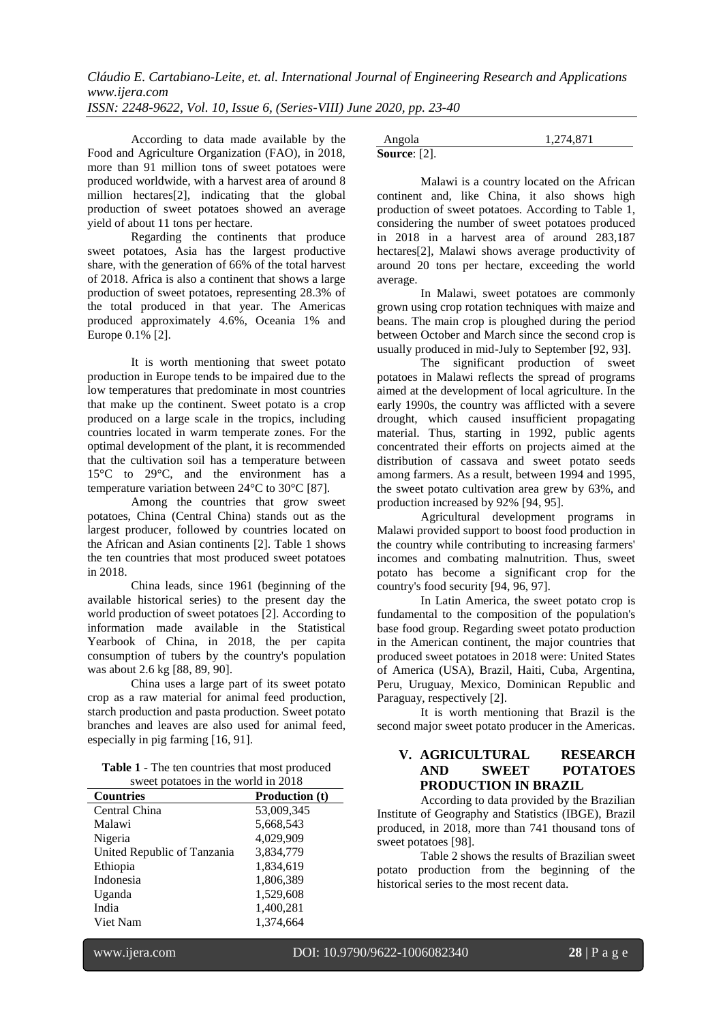According to data made available by the Food and Agriculture Organization (FAO), in 2018, more than 91 million tons of sweet potatoes were produced worldwide, with a harvest area of around 8 million hectares[2], indicating that the global production of sweet potatoes showed an average yield of about 11 tons per hectare.

Regarding the continents that produce sweet potatoes, Asia has the largest productive share, with the generation of 66% of the total harvest of 2018. Africa is also a continent that shows a large production of sweet potatoes, representing 28.3% of the total produced in that year. The Americas produced approximately 4.6%, Oceania 1% and Europe 0.1% [2].

It is worth mentioning that sweet potato production in Europe tends to be impaired due to the low temperatures that predominate in most countries that make up the continent. Sweet potato is a crop produced on a large scale in the tropics, including countries located in warm temperate zones. For the optimal development of the plant, it is recommended that the cultivation soil has a temperature between 15°C to 29°C, and the environment has a temperature variation between 24°C to 30°C [87].

Among the countries that grow sweet potatoes, China (Central China) stands out as the largest producer, followed by countries located on the African and Asian continents [2]. Table 1 shows the ten countries that most produced sweet potatoes in 2018.

China leads, since 1961 (beginning of the available historical series) to the present day the world production of sweet potatoes [2]. According to information made available in the Statistical Yearbook of China, in 2018, the per capita consumption of tubers by the country's population was about 2.6 kg [88, 89, 90].

China uses a large part of its sweet potato crop as a raw material for animal feed production, starch production and pasta production. Sweet potato branches and leaves are also used for animal feed, especially in pig farming [16, 91].

**Table 1** - The ten countries that most produced sweet potatoes in the world in 2018

| $\frac{1}{2}$ week polaroes in the world in 2010<br><b>Countries</b> | <b>Production</b> (t) |
|----------------------------------------------------------------------|-----------------------|
| Central China                                                        | 53,009,345            |
| Malawi                                                               | 5,668,543             |
| Nigeria                                                              | 4,029,909             |
| United Republic of Tanzania                                          | 3,834,779             |
| Ethiopia                                                             | 1,834,619             |
| Indonesia                                                            | 1,806,389             |
| Uganda                                                               | 1,529,608             |
| India                                                                | 1,400,281             |
| Viet Nam                                                             | 1,374,664             |

| Angola              | 1,274,871 |
|---------------------|-----------|
| <b>Source:</b> [2]. |           |

Malawi is a country located on the African continent and, like China, it also shows high production of sweet potatoes. According to Table 1, considering the number of sweet potatoes produced in 2018 in a harvest area of around 283,187 hectares[2], Malawi shows average productivity of around 20 tons per hectare, exceeding the world average.

In Malawi, sweet potatoes are commonly grown using crop rotation techniques with maize and beans. The main crop is ploughed during the period between October and March since the second crop is usually produced in mid-July to September [92, 93].

The significant production of sweet potatoes in Malawi reflects the spread of programs aimed at the development of local agriculture. In the early 1990s, the country was afflicted with a severe drought, which caused insufficient propagating material. Thus, starting in 1992, public agents concentrated their efforts on projects aimed at the distribution of cassava and sweet potato seeds among farmers. As a result, between 1994 and 1995, the sweet potato cultivation area grew by 63%, and production increased by 92% [94, 95].

Agricultural development programs in Malawi provided support to boost food production in the country while contributing to increasing farmers' incomes and combating malnutrition. Thus, sweet potato has become a significant crop for the country's food security [94, 96, 97].

In Latin America, the sweet potato crop is fundamental to the composition of the population's base food group. Regarding sweet potato production in the American continent, the major countries that produced sweet potatoes in 2018 were: United States of America (USA), Brazil, Haiti, Cuba, Argentina, Peru, Uruguay, Mexico, Dominican Republic and Paraguay, respectively [2].

It is worth mentioning that Brazil is the second major sweet potato producer in the Americas.

#### **V. AGRICULTURAL RESEARCH AND SWEET POTATOES PRODUCTION IN BRAZIL**

According to data provided by the Brazilian Institute of Geography and Statistics (IBGE), Brazil produced, in 2018, more than 741 thousand tons of sweet potatoes [98].

Table 2 shows the results of Brazilian sweet potato production from the beginning of the historical series to the most recent data.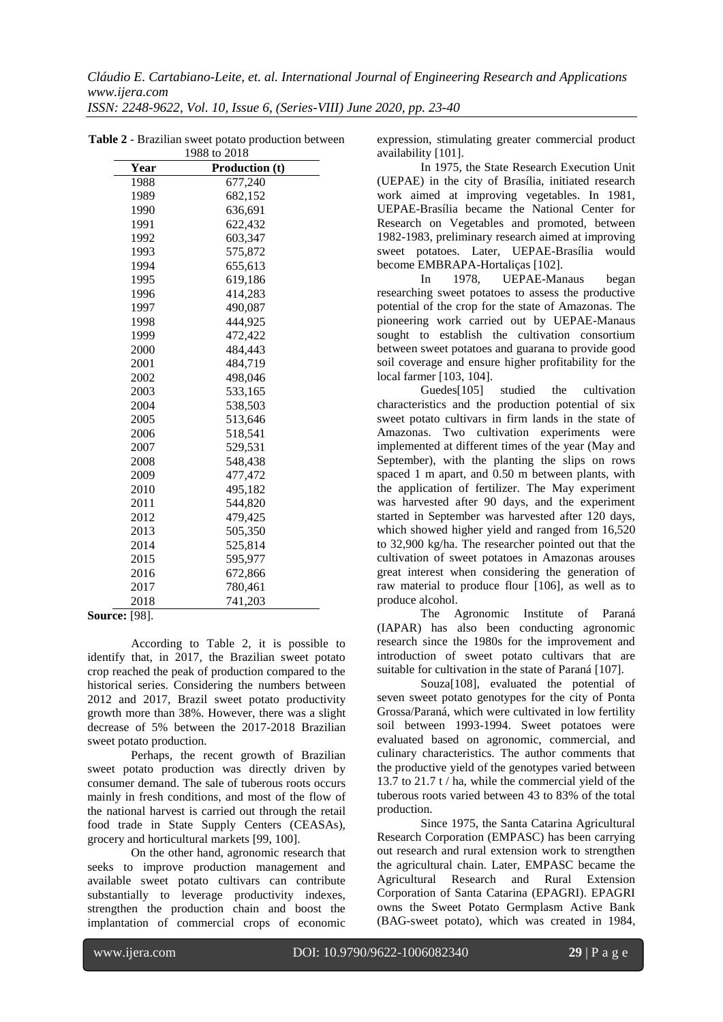*ISSN: 2248-9622, Vol. 10, Issue 6, (Series-VIII) June 2020, pp. 23-40*

|      | 1 2 U U W<br>2010     |
|------|-----------------------|
| Year | <b>Production</b> (t) |
| 1988 | 677,240               |
| 1989 | 682,152               |
| 1990 | 636,691               |
| 1991 | 622,432               |
| 1992 | 603,347               |
| 1993 | 575,872               |
| 1994 | 655,613               |
| 1995 | 619,186               |
| 1996 | 414,283               |
| 1997 | 490,087               |
| 1998 | 444,925               |
| 1999 | 472,422               |
| 2000 | 484,443               |
| 2001 | 484,719               |
| 2002 | 498,046               |
| 2003 | 533,165               |
| 2004 | 538,503               |
| 2005 | 513,646               |
| 2006 | 518,541               |
| 2007 | 529,531               |
| 2008 | 548,438               |
| 2009 | 477,472               |
| 2010 | 495,182               |
| 2011 | 544,820               |
| 2012 | 479,425               |
| 2013 | 505,350               |
| 2014 | 525,814               |
| 2015 | 595,977               |
| 2016 | 672,866               |
| 2017 | 780,461               |
| 2018 | 741,203               |

**Table 2** - Brazilian sweet potato production between 1988 to 2018

**Source:** [98].

According to Table 2, it is possible to identify that, in 2017, the Brazilian sweet potato crop reached the peak of production compared to the historical series. Considering the numbers between 2012 and 2017, Brazil sweet potato productivity growth more than 38%. However, there was a slight decrease of 5% between the 2017-2018 Brazilian sweet potato production.

Perhaps, the recent growth of Brazilian sweet potato production was directly driven by consumer demand. The sale of tuberous roots occurs mainly in fresh conditions, and most of the flow of the national harvest is carried out through the retail food trade in State Supply Centers (CEASAs), grocery and horticultural markets [99, 100].

On the other hand, agronomic research that seeks to improve production management and available sweet potato cultivars can contribute substantially to leverage productivity indexes, strengthen the production chain and boost the implantation of commercial crops of economic

expression, stimulating greater commercial product availability [101].

In 1975, the State Research Execution Unit (UEPAE) in the city of Brasília, initiated research work aimed at improving vegetables. In 1981, UEPAE-Brasília became the National Center for Research on Vegetables and promoted, between 1982-1983, preliminary research aimed at improving sweet potatoes. Later, UEPAE-Brasília would become EMBRAPA-Hortaliças [102].

In 1978, UEPAE-Manaus began researching sweet potatoes to assess the productive potential of the crop for the state of Amazonas. The pioneering work carried out by UEPAE-Manaus sought to establish the cultivation consortium between sweet potatoes and guarana to provide good soil coverage and ensure higher profitability for the local farmer [103, 104].

studied the cultivation characteristics and the production potential of six sweet potato cultivars in firm lands in the state of Amazonas. Two cultivation experiments were implemented at different times of the year (May and September), with the planting the slips on rows spaced 1 m apart, and 0.50 m between plants, with the application of fertilizer. The May experiment was harvested after 90 days, and the experiment started in September was harvested after 120 days, which showed higher yield and ranged from 16,520 to 32,900 kg/ha. The researcher pointed out that the cultivation of sweet potatoes in Amazonas arouses great interest when considering the generation of raw material to produce flour [106], as well as to produce alcohol.

The Agronomic Institute of Paraná (IAPAR) has also been conducting agronomic research since the 1980s for the improvement and introduction of sweet potato cultivars that are suitable for cultivation in the state of Paraná [107].

Souza[108], evaluated the potential of seven sweet potato genotypes for the city of Ponta Grossa/Paraná, which were cultivated in low fertility soil between 1993-1994. Sweet potatoes were evaluated based on agronomic, commercial, and culinary characteristics. The author comments that the productive yield of the genotypes varied between 13.7 to 21.7 t / ha, while the commercial yield of the tuberous roots varied between 43 to 83% of the total production.

Since 1975, the Santa Catarina Agricultural Research Corporation (EMPASC) has been carrying out research and rural extension work to strengthen the agricultural chain. Later, EMPASC became the Agricultural Research and Rural Extension Corporation of Santa Catarina (EPAGRI). EPAGRI owns the Sweet Potato Germplasm Active Bank (BAG-sweet potato), which was created in 1984,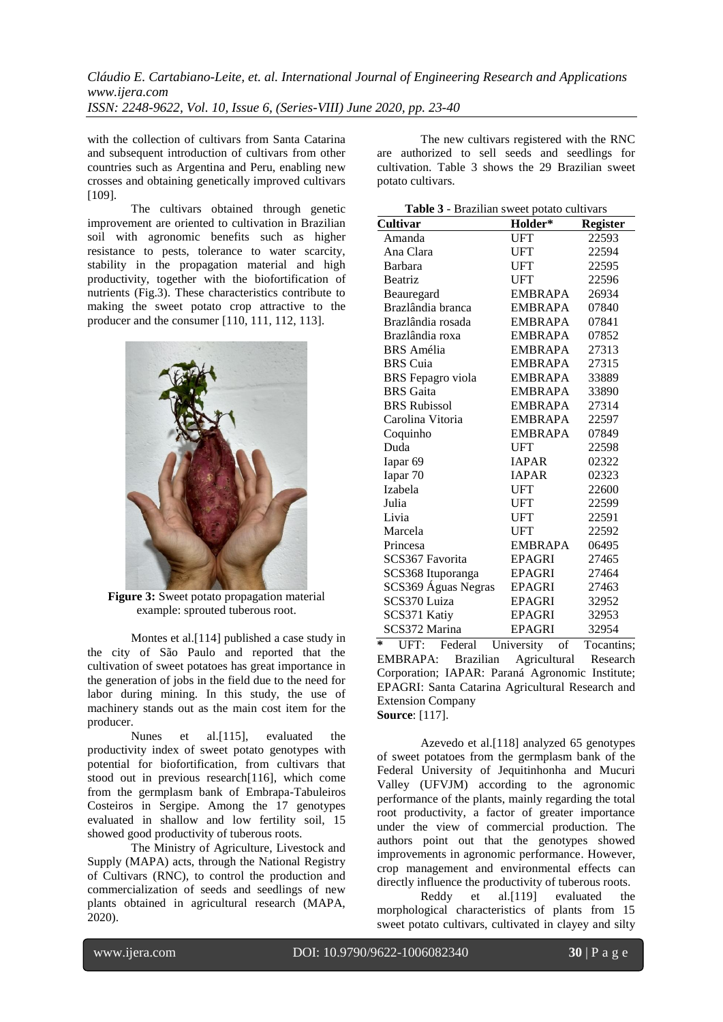with the collection of cultivars from Santa Catarina and subsequent introduction of cultivars from other countries such as Argentina and Peru, enabling new crosses and obtaining genetically improved cultivars [109].

The cultivars obtained through genetic improvement are oriented to cultivation in Brazilian soil with agronomic benefits such as higher resistance to pests, tolerance to water scarcity, stability in the propagation material and high productivity, together with the biofortification of nutrients (Fig.3). These characteristics contribute to making the sweet potato crop attractive to the producer and the consumer [110, 111, 112, 113].



**Figure 3:** Sweet potato propagation material example: sprouted tuberous root.

Montes et al.[114] published a case study in the city of São Paulo and reported that the cultivation of sweet potatoes has great importance in the generation of jobs in the field due to the need for labor during mining. In this study, the use of machinery stands out as the main cost item for the producer.

Nunes et al.[115], evaluated the productivity index of sweet potato genotypes with potential for biofortification, from cultivars that stood out in previous research[116], which come from the germplasm bank of Embrapa-Tabuleiros Costeiros in Sergipe. Among the 17 genotypes evaluated in shallow and low fertility soil, 15 showed good productivity of tuberous roots.

The Ministry of Agriculture, Livestock and Supply (MAPA) acts, through the National Registry of Cultivars (RNC), to control the production and commercialization of seeds and seedlings of new plants obtained in agricultural research (MAPA, 2020).

The new cultivars registered with the RNC are authorized to sell seeds and seedlings for cultivation. Table 3 shows the 29 Brazilian sweet potato cultivars.

| Table 3 - Brazilian sweet potato cultivars                                                                            |                                                       |                                    |
|-----------------------------------------------------------------------------------------------------------------------|-------------------------------------------------------|------------------------------------|
| Cultivar                                                                                                              | Holder*                                               | <b>Register</b>                    |
| Amanda                                                                                                                | <b>UFT</b>                                            | 22593                              |
| Ana Clara                                                                                                             | <b>UFT</b>                                            | 22594                              |
| Barbara                                                                                                               | <b>UFT</b>                                            | 22595                              |
| Beatriz                                                                                                               | <b>UFT</b>                                            | 22596                              |
| Beauregard                                                                                                            | <b>EMBRAPA</b>                                        | 26934                              |
| Brazlândia branca                                                                                                     | <b>EMBRAPA</b>                                        | 07840                              |
| Brazlândia rosada                                                                                                     | <b>EMBRAPA</b>                                        | 07841                              |
| Brazlândia roxa                                                                                                       | <b>EMBRAPA</b>                                        | 07852                              |
| <b>BRS</b> Amélia                                                                                                     | <b>EMBRAPA</b>                                        | 27313                              |
| <b>BRS</b> Cuia                                                                                                       | <b>EMBRAPA</b>                                        | 27315                              |
| <b>BRS</b> Fepagro viola                                                                                              | <b>EMBRAPA</b>                                        | 33889                              |
| <b>BRS</b> Gaita                                                                                                      | <b>EMBRAPA</b>                                        | 33890                              |
| <b>BRS Rubissol</b>                                                                                                   | <b>EMBRAPA</b>                                        | 27314                              |
| Carolina Vitoria                                                                                                      | <b>EMBRAPA</b>                                        | 22597                              |
| Coquinho                                                                                                              | <b>EMBRAPA</b>                                        | 07849                              |
| Duda                                                                                                                  | <b>UFT</b>                                            | 22598                              |
| Iapar <sub>69</sub>                                                                                                   | <b>IAPAR</b>                                          | 02322                              |
| Iapar 70                                                                                                              | <b>IAPAR</b>                                          | 02323                              |
| Izabela                                                                                                               | <b>UFT</b>                                            | 22600                              |
| Julia                                                                                                                 | <b>UFT</b>                                            | 22599                              |
| Livia                                                                                                                 | <b>UFT</b>                                            | 22591                              |
| Marcela                                                                                                               | <b>UFT</b>                                            | 22592                              |
| Princesa                                                                                                              | <b>EMBRAPA</b>                                        | 06495                              |
| SCS367 Favorita                                                                                                       | <b>EPAGRI</b>                                         | 27465                              |
| SCS368 Ituporanga                                                                                                     | <b>EPAGRI</b>                                         | 27464                              |
| SCS369 Águas Negras                                                                                                   | EPAGRI                                                | 27463                              |
| SCS370 Luiza                                                                                                          | <b>EPAGRI</b>                                         | 32952                              |
| SCS371 Katiy                                                                                                          | <b>EPAGRI</b>                                         | 32953                              |
| SCS372 Marina<br>$\overline{\mathbf{r} \cdot \mathbf{r}}$<br>$\mathbf{r}$ $\mathbf{r}$<br>$\Delta x$<br><b>ILLUID</b> | <b>EPAGRI</b><br>$\mathbf{r}$<br>$\ddot{\phantom{a}}$ | 32954<br>$\mathbf{r}$<br>$\cdot$ . |

**\*** UFT: Federal University of Tocantins; EMBRAPA: Brazilian Agricultural Research Corporation; IAPAR: Paraná Agronomic Institute; EPAGRI: Santa Catarina Agricultural Research and Extension Company **Source**: [117].

Azevedo et al.[118] analyzed 65 genotypes of sweet potatoes from the germplasm bank of the Federal University of Jequitinhonha and Mucuri Valley (UFVJM) according to the agronomic performance of the plants, mainly regarding the total root productivity, a factor of greater importance under the view of commercial production. The authors point out that the genotypes showed improvements in agronomic performance. However, crop management and environmental effects can directly influence the productivity of tuberous roots.

Reddy et al.[119] evaluated the morphological characteristics of plants from 15 sweet potato cultivars, cultivated in clayey and silty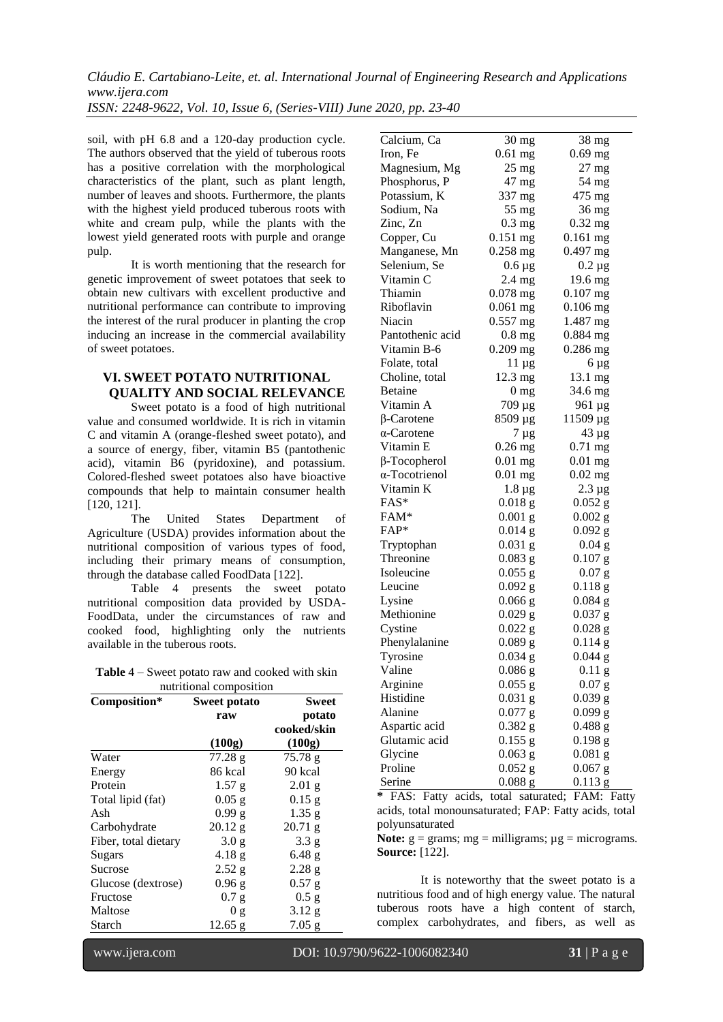*ISSN: 2248-9622, Vol. 10, Issue 6, (Series-VIII) June 2020, pp. 23-40*

soil, with pH 6.8 and a 120-day production cycle. The authors observed that the yield of tuberous roots has a positive correlation with the morphological characteristics of the plant, such as plant length, number of leaves and shoots. Furthermore, the plants with the highest yield produced tuberous roots with white and cream pulp, while the plants with the lowest yield generated roots with purple and orange pulp.

It is worth mentioning that the research for genetic improvement of sweet potatoes that seek to obtain new cultivars with excellent productive and nutritional performance can contribute to improving the interest of the rural producer in planting the crop inducing an increase in the commercial availability of sweet potatoes.

## **VI. SWEET POTATO NUTRITIONAL QUALITY AND SOCIAL RELEVANCE**

Sweet potato is a food of high nutritional value and consumed worldwide. It is rich in vitamin C and vitamin A (orange-fleshed sweet potato), and a source of energy, fiber, vitamin B5 (pantothenic acid), vitamin B6 (pyridoxine), and potassium. Colored-fleshed sweet potatoes also have bioactive compounds that help to maintain consumer health [120, 121].

The United States Department of Agriculture (USDA) provides information about the nutritional composition of various types of food, including their primary means of consumption, through the database called FoodData [122].

Table 4 presents the sweet potato nutritional composition data provided by USDA-FoodData, under the circumstances of raw and cooked food, highlighting only the nutrients available in the tuberous roots.

| <b>Table</b> $4$ – Sweet potato raw and cooked with skin |  |
|----------------------------------------------------------|--|
| nutritional composition                                  |  |

| Composition*         | <b>Sweet potato</b> | Sweet             |
|----------------------|---------------------|-------------------|
|                      | raw                 | potato            |
|                      |                     | cooked/skin       |
|                      | (100g)              | (100g)            |
| Water                | 77.28 g             | 75.78 g           |
| Energy               | 86 kcal             | 90 kcal           |
| Protein              | 1.57 g              | $2.01$ g          |
| Total lipid (fat)    | $0.05$ g            | $0.15$ g          |
| Ash                  | $0.99$ g            | $1.35$ g          |
| Carbohydrate         | $20.12$ g           | $20.71$ g         |
| Fiber, total dietary | 3.0 <sub>g</sub>    | 3.3 <sub>g</sub>  |
| Sugars               | 4.18 <sub>g</sub>   | $6.48$ g          |
| Sucrose              | 2.52 g              | 2.28 <sub>g</sub> |
| Glucose (dextrose)   | $0.96$ g            | $0.57$ g          |
| Fructose             | 0.7 g               | $0.5$ g           |
| Maltose              | 0 <sub>g</sub>      | $3.12$ g          |
| Starch               | $12.65$ g           | $7.05$ g          |

| Calcium, Ca         | 30 mg           | 38 mg       |
|---------------------|-----------------|-------------|
| Iron, Fe            | $0.61$ mg       | $0.69$ mg   |
| Magnesium, Mg       | $25$ mg         | 27 mg       |
| Phosphorus, P       | 47 mg           | 54 mg       |
| Potassium, K        | 337 mg          | 475 mg      |
| Sodium, Na          | $55$ mg         | 36 mg       |
| Zinc, Zn            | $0.3$ mg        | $0.32$ mg   |
| Copper, Cu          | $0.151$ mg      | $0.161$ mg  |
| Manganese, Mn       | 0.258 mg        | $0.497$ mg  |
| Selenium, Se        | $0.6 \mu$ g     | $0.2 \mu$ g |
| Vitamin C           | $2.4$ mg        | 19.6 mg     |
| Thiamin             | $0.078$ mg      | $0.107$ mg  |
| Riboflavin          | $0.061$ mg      | $0.106$ mg  |
| Niacin              | $0.557$ mg      | 1.487 mg    |
| Pantothenic acid    | $0.8$ mg        | $0.884$ mg  |
| Vitamin B-6         | $0.209$ mg      | 0.286 mg    |
| Folate, total       | $11 \mu g$      | 6 µg        |
| Choline, total      | 12.3 mg         | 13.1 mg     |
| <b>Betaine</b>      | 0 <sub>mg</sub> | 34.6 mg     |
| Vitamin A           | 709 μg          | 961 µg      |
| β-Carotene          | 8509 µg         | 11509 µg    |
| $\alpha$ -Carotene  | 7 µg            | 43 µg       |
| Vitamin E           | $0.26$ mg       | $0.71$ mg   |
| $\beta$ -Tocopherol | $0.01$ mg       | $0.01$ mg   |
| α-Tocotrienol       | $0.01$ mg       | $0.02$ mg   |
| Vitamin K           | $1.8 \mu$ g     | $2.3 \mu g$ |
| FAS*                | $0.018$ g       | $0.052$ g   |
| FAM*                | $0.001$ g       | $0.002$ g   |
| FAP*                | $0.014$ g       | $0.092$ g   |
| Tryptophan          | $0.031$ g       | $0.04$ g    |
| Threonine           | $0.083$ g       | $0.107$ g   |
| Isoleucine          | $0.055$ g       | $0.07$ g    |
| Leucine             | $0.092$ g       | $0.118$ g   |
| Lysine              | $0.066$ g       | $0.084$ g   |
| Methionine          | $0.029$ g       | $0.037$ g   |
| Cystine             | $0.022$ g       | $0.028$ g   |
| Phenylalanine       | $0.089$ g       | 0.114 g     |
| Tyrosine            | $0.034$ g       | $0.044$ g   |
| Valine              | $0.086$ g       | $0.11$ g    |
| Arginine            | $0.055$ g       | $0.07$ g    |
| Histidine           | $0.031$ g       | 0.039 g     |
| Alanine             | $0.077$ g       | 0.099 g     |
| Aspartic acid       | $0.382$ g       | 0.488 g     |
| Glutamic acid       | $0.155$ g       | $0.198$ g   |
| Glycine             | $0.063$ g       | $0.081$ g   |
| Proline             |                 | $0.067$ g   |
| Serine              | $0.052$ g       | $0.113$ g   |
|                     | $0.088$ g       |             |

**\*** FAS: Fatty acids, total saturated; FAM: Fatty acids, total monounsaturated; FAP: Fatty acids, total polyunsaturated

**Note:**  $g =$  grams;  $mg =$  milligrams;  $\mu g =$  micrograms. **Source:** [122].

It is noteworthy that the sweet potato is a nutritious food and of high energy value. The natural tuberous roots have a high content of starch, complex carbohydrates, and fibers, as well as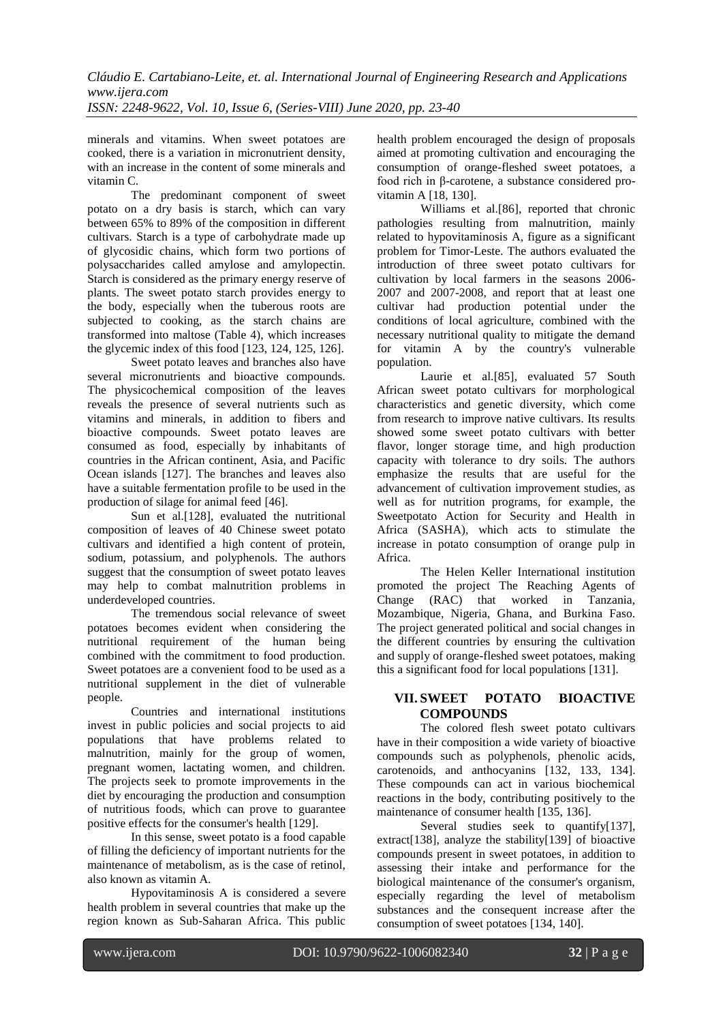minerals and vitamins. When sweet potatoes are cooked, there is a variation in micronutrient density, with an increase in the content of some minerals and vitamin C.

The predominant component of sweet potato on a dry basis is starch, which can vary between 65% to 89% of the composition in different cultivars. Starch is a type of carbohydrate made up of glycosidic chains, which form two portions of polysaccharides called amylose and amylopectin. Starch is considered as the primary energy reserve of plants. The sweet potato starch provides energy to the body, especially when the tuberous roots are subjected to cooking, as the starch chains are transformed into maltose (Table 4), which increases the glycemic index of this food [123, 124, 125, 126].

Sweet potato leaves and branches also have several micronutrients and bioactive compounds. The physicochemical composition of the leaves reveals the presence of several nutrients such as vitamins and minerals, in addition to fibers and bioactive compounds. Sweet potato leaves are consumed as food, especially by inhabitants of countries in the African continent, Asia, and Pacific Ocean islands [127]. The branches and leaves also have a suitable fermentation profile to be used in the production of silage for animal feed [46].

Sun et al.[128], evaluated the nutritional composition of leaves of 40 Chinese sweet potato cultivars and identified a high content of protein, sodium, potassium, and polyphenols. The authors suggest that the consumption of sweet potato leaves may help to combat malnutrition problems in underdeveloped countries.

The tremendous social relevance of sweet potatoes becomes evident when considering the nutritional requirement of the human being combined with the commitment to food production. Sweet potatoes are a convenient food to be used as a nutritional supplement in the diet of vulnerable people.

Countries and international institutions invest in public policies and social projects to aid populations that have problems related to malnutrition, mainly for the group of women, pregnant women, lactating women, and children. The projects seek to promote improvements in the diet by encouraging the production and consumption of nutritious foods, which can prove to guarantee positive effects for the consumer's health [129].

In this sense, sweet potato is a food capable of filling the deficiency of important nutrients for the maintenance of metabolism, as is the case of retinol, also known as vitamin A.

Hypovitaminosis A is considered a severe health problem in several countries that make up the region known as Sub-Saharan Africa. This public

health problem encouraged the design of proposals aimed at promoting cultivation and encouraging the consumption of orange-fleshed sweet potatoes, a food rich in β-carotene, a substance considered provitamin A [18, 130].

Williams et al.[86], reported that chronic pathologies resulting from malnutrition, mainly related to hypovitaminosis A, figure as a significant problem for Timor-Leste. The authors evaluated the introduction of three sweet potato cultivars for cultivation by local farmers in the seasons 2006- 2007 and 2007-2008, and report that at least one cultivar had production potential under the conditions of local agriculture, combined with the necessary nutritional quality to mitigate the demand for vitamin A by the country's vulnerable population.

Laurie et al.[85], evaluated 57 South African sweet potato cultivars for morphological characteristics and genetic diversity, which come from research to improve native cultivars. Its results showed some sweet potato cultivars with better flavor, longer storage time, and high production capacity with tolerance to dry soils. The authors emphasize the results that are useful for the advancement of cultivation improvement studies, as well as for nutrition programs, for example, the Sweetpotato Action for Security and Health in Africa (SASHA), which acts to stimulate the increase in potato consumption of orange pulp in Africa.

The Helen Keller International institution promoted the project The Reaching Agents of Change (RAC) that worked in Tanzania, Mozambique, Nigeria, Ghana, and Burkina Faso. The project generated political and social changes in the different countries by ensuring the cultivation and supply of orange-fleshed sweet potatoes, making this a significant food for local populations [131].

#### **VII. SWEET POTATO BIOACTIVE COMPOUNDS**

The colored flesh sweet potato cultivars have in their composition a wide variety of bioactive compounds such as polyphenols, phenolic acids, carotenoids, and anthocyanins [132, 133, 134]. These compounds can act in various biochemical reactions in the body, contributing positively to the maintenance of consumer health [135, 136].

Several studies seek to quantify[137], extract[138], analyze the stability[139] of bioactive compounds present in sweet potatoes, in addition to assessing their intake and performance for the biological maintenance of the consumer's organism, especially regarding the level of metabolism substances and the consequent increase after the consumption of sweet potatoes [134, 140].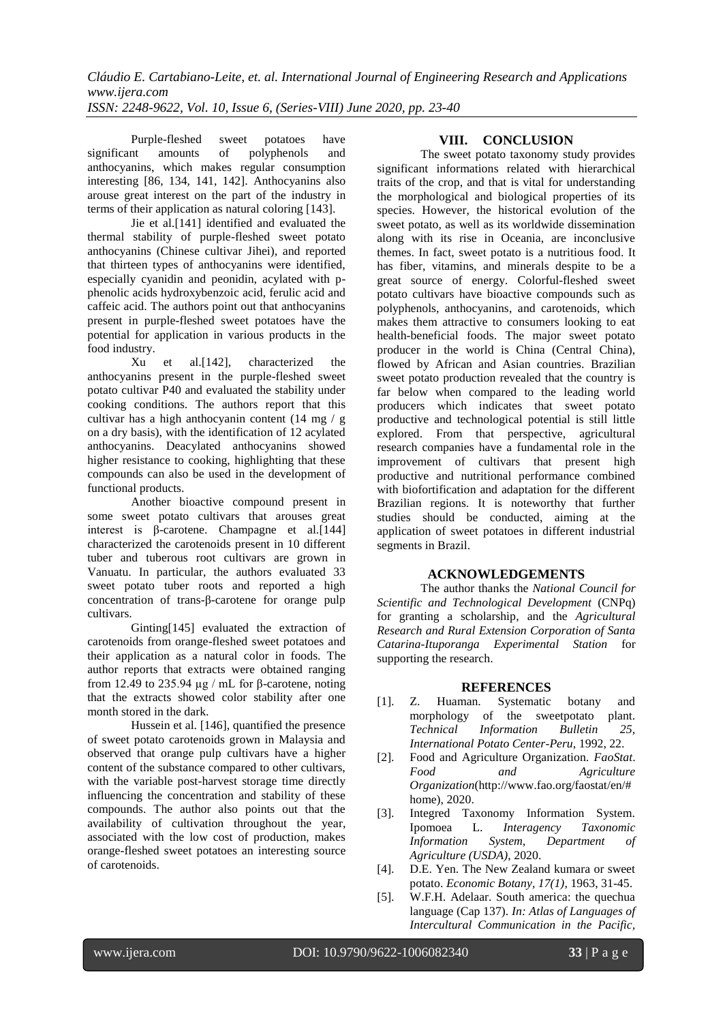Purple-fleshed sweet potatoes have<br>significant amounts of polyphenols and polyphenols and anthocyanins, which makes regular consumption interesting [86, 134, 141, 142]. Anthocyanins also arouse great interest on the part of the industry in terms of their application as natural coloring [143].

Jie et al.[141] identified and evaluated the thermal stability of purple-fleshed sweet potato anthocyanins (Chinese cultivar Jihei), and reported that thirteen types of anthocyanins were identified, especially cyanidin and peonidin, acylated with pphenolic acids hydroxybenzoic acid, ferulic acid and caffeic acid. The authors point out that anthocyanins present in purple-fleshed sweet potatoes have the potential for application in various products in the food industry.

Xu et al.[142], characterized the anthocyanins present in the purple-fleshed sweet potato cultivar P40 and evaluated the stability under cooking conditions. The authors report that this cultivar has a high anthocyanin content (14 mg / g on a dry basis), with the identification of 12 acylated anthocyanins. Deacylated anthocyanins showed higher resistance to cooking, highlighting that these compounds can also be used in the development of functional products.

Another bioactive compound present in some sweet potato cultivars that arouses great interest is β-carotene. Champagne et al.[144] characterized the carotenoids present in 10 different tuber and tuberous root cultivars are grown in Vanuatu. In particular, the authors evaluated 33 sweet potato tuber roots and reported a high concentration of trans-β-carotene for orange pulp cultivars.

Ginting[145] evaluated the extraction of carotenoids from orange-fleshed sweet potatoes and their application as a natural color in foods. The author reports that extracts were obtained ranging from 12.49 to 235.94 µg / mL for β-carotene, noting that the extracts showed color stability after one month stored in the dark.

Hussein et al. [146], quantified the presence of sweet potato carotenoids grown in Malaysia and observed that orange pulp cultivars have a higher content of the substance compared to other cultivars, with the variable post-harvest storage time directly influencing the concentration and stability of these compounds. The author also points out that the availability of cultivation throughout the year, associated with the low cost of production, makes orange-fleshed sweet potatoes an interesting source of carotenoids.

### **VIII. CONCLUSION**

The sweet potato taxonomy study provides significant informations related with hierarchical traits of the crop, and that is vital for understanding the morphological and biological properties of its species. However, the historical evolution of the sweet potato, as well as its worldwide dissemination along with its rise in Oceania, are inconclusive themes. In fact, sweet potato is a nutritious food. It has fiber, vitamins, and minerals despite to be a great source of energy. Colorful-fleshed sweet potato cultivars have bioactive compounds such as polyphenols, anthocyanins, and carotenoids, which makes them attractive to consumers looking to eat health-beneficial foods. The major sweet potato producer in the world is China (Central China), flowed by African and Asian countries. Brazilian sweet potato production revealed that the country is far below when compared to the leading world producers which indicates that sweet potato productive and technological potential is still little explored. From that perspective, agricultural research companies have a fundamental role in the improvement of cultivars that present high productive and nutritional performance combined with biofortification and adaptation for the different Brazilian regions. It is noteworthy that further studies should be conducted, aiming at the application of sweet potatoes in different industrial segments in Brazil.

#### **ACKNOWLEDGEMENTS**

The author thanks the *National Council for Scientific and Technological Development* (CNPq) for granting a scholarship, and the *Agricultural Research and Rural Extension Corporation of Santa Catarina-Ituporanga Experimental Station* for supporting the research.

#### **REFERENCES**

- [1]. Z. Huaman. Systematic botany and morphology of the sweetpotato plant. *Technical Information Bulletin 25, International Potato Center-Peru*, 1992, 22.
- [2]. Food and Agriculture Organization. *FaoStat*. *Food and Agriculture Organization*(http://www.fao.org/faostat/en/# home), 2020.
- [3]. Integred Taxonomy Information System. Ipomoea L. *Interagency Taxonomic Information System, Department of Agriculture (USDA)*, 2020.
- [4]. D.E. Yen. The New Zealand kumara or sweet potato. *Economic Botany, 17(1)*, 1963, 31-45.
- [5]. W.F.H. Adelaar. South america: the quechua language (Cap 137). *In: Atlas of Languages of Intercultural Communication in the Pacific,*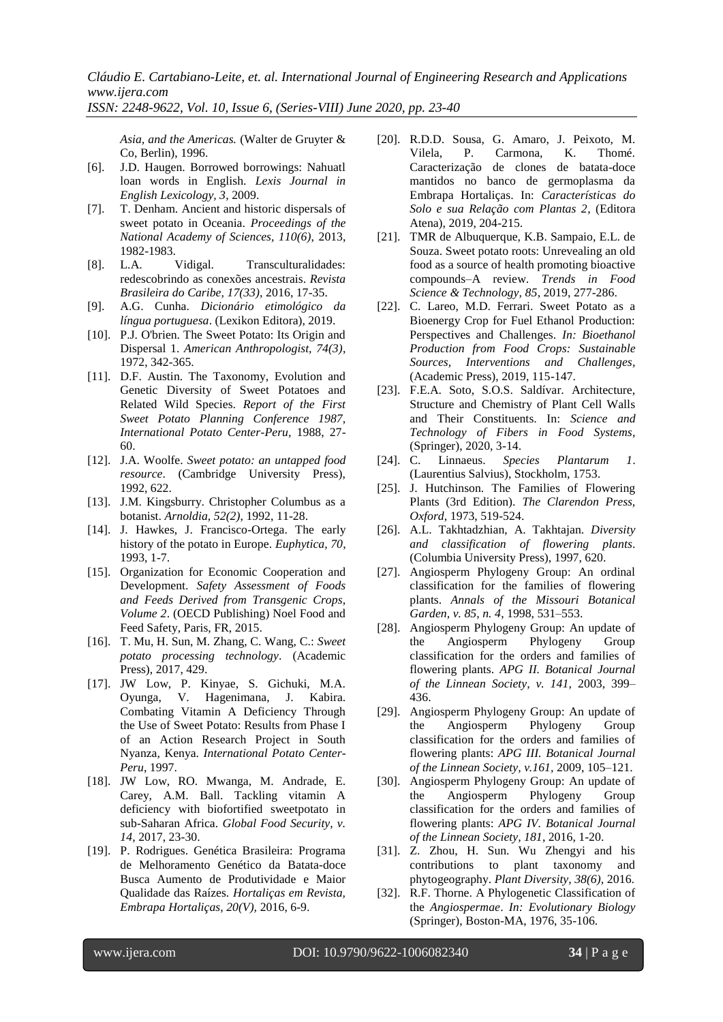*ISSN: 2248-9622, Vol. 10, Issue 6, (Series-VIII) June 2020, pp. 23-40*

*Asia, and the Americas.* (Walter de Gruyter & Co, Berlin), 1996.

- [6]. J.D. Haugen. Borrowed borrowings: Nahuatl loan words in English. *Lexis Journal in English Lexicology, 3*, 2009.
- [7]. T. Denham. Ancient and historic dispersals of sweet potato in Oceania. *Proceedings of the National Academy of Sciences, 110(6)*, 2013, 1982-1983.
- [8]. L.A. Vidigal. Transculturalidades: redescobrindo as conexões ancestrais. *Revista Brasileira do Caribe, 17(33)*, 2016, 17-35.
- [9]. A.G. Cunha. *Dicionário etimológico da língua portuguesa*. (Lexikon Editora), 2019.
- [10]. P.J. O'brien. The Sweet Potato: Its Origin and Dispersal 1. *American Anthropologist, 74(3)*, 1972, 342-365.
- [11]. D.F. Austin. The Taxonomy, Evolution and Genetic Diversity of Sweet Potatoes and Related Wild Species. *Report of the First Sweet Potato Planning Conference 1987, International Potato Center-Peru,* 1988, 27- 60.
- [12]. J.A. Woolfe. *Sweet potato: an untapped food resource*. (Cambridge University Press), 1992, 622.
- [13]. J.M. Kingsburry. Christopher Columbus as a botanist. *Arnoldia, 52(2)*, 1992, 11-28.
- [14]. J. Hawkes, J. Francisco-Ortega. The early history of the potato in Europe. *Euphytica, 70*, 1993, 1-7.
- [15]. Organization for Economic Cooperation and Development. *Safety Assessment of Foods and Feeds Derived from Transgenic Crops, Volume 2*. (OECD Publishing) Noel Food and Feed Safety, Paris, FR, 2015.
- [16]. T. Mu, H. Sun, M. Zhang, C. Wang, C.: *Sweet potato processing technology*. (Academic Press), 2017, 429.
- [17]. JW Low, P. Kinyae, S. Gichuki, M.A. Oyunga, V. Hagenimana, J. Kabira. Combating Vitamin A Deficiency Through the Use of Sweet Potato: Results from Phase I of an Action Research Project in South Nyanza, Kenya. *International Potato Center-Peru*, 1997.
- [18]. JW Low, RO. Mwanga, M. Andrade, E. Carey, A.M. Ball. Tackling vitamin A deficiency with biofortified sweetpotato in sub-Saharan Africa. *Global Food Security, v. 14*, 2017, 23-30.
- [19]. P. Rodrigues. Genética Brasileira: Programa de Melhoramento Genético da Batata-doce Busca Aumento de Produtividade e Maior Qualidade das Raízes. *Hortaliças em Revista, Embrapa Hortaliças, 20(V),* 2016, 6-9.
- [20]. R.D.D. Sousa, G. Amaro, J. Peixoto, M. Vilela, P. Carmona, K. Thomé. Caracterização de clones de batata-doce mantidos no banco de germoplasma da Embrapa Hortaliças. In: *Características do Solo e sua Relação com Plantas 2*, (Editora Atena), 2019, 204-215.
- [21]. TMR de Albuquerque, K.B. Sampaio, E.L. de Souza. Sweet potato roots: Unrevealing an old food as a source of health promoting bioactive compounds–A review. *Trends in Food Science & Technology, 85*, 2019, 277-286.
- [22]. C. Lareo, M.D. Ferrari. Sweet Potato as a Bioenergy Crop for Fuel Ethanol Production: Perspectives and Challenges. *In: Bioethanol Production from Food Crops: Sustainable Sources, Interventions and Challenges*, (Academic Press), 2019, 115-147.
- [23]. F.E.A. Soto, S.O.S. Saldívar. Architecture, Structure and Chemistry of Plant Cell Walls and Their Constituents. In: *Science and Technology of Fibers in Food Systems*, (Springer), 2020, 3-14.
- [24]. C. Linnaeus. *Species Plantarum 1*. (Laurentius Salvius), Stockholm, 1753.
- [25]. J. Hutchinson. The Families of Flowering Plants (3rd Edition). *The Clarendon Press, Oxford*, 1973, 519-524.
- [26]. A.L. Takhtadzhian, A. Takhtajan. *Diversity and classification of flowering plants*. (Columbia University Press), 1997, 620.
- [27]. Angiosperm Phylogeny Group: An ordinal classification for the families of flowering plants. *Annals of the Missouri Botanical Garden, v. 85, n. 4*, 1998, 531–553.
- [28]. Angiosperm Phylogeny Group: An update of the Angiosperm Phylogeny Group classification for the orders and families of flowering plants. *APG II. Botanical Journal of the Linnean Society, v. 141,* 2003, 399– 436.
- [29]. Angiosperm Phylogeny Group: An update of the Angiosperm Phylogeny Group classification for the orders and families of flowering plants: *APG III. Botanical Journal of the Linnean Society, v.161,* 2009, 105–121.
- [30]. Angiosperm Phylogeny Group: An update of the Angiosperm Phylogeny Group classification for the orders and families of flowering plants: *APG IV. Botanical Journal of the Linnean Society, 181*, 2016, 1-20.
- [31]. Z. Zhou, H. Sun. Wu Zhengyi and his contributions to plant taxonomy and phytogeography. *Plant Diversity, 38(6)*, 2016.
- [32]. R.F. Thorne. A Phylogenetic Classification of the *Angiospermae*. *In: Evolutionary Biology* (Springer), Boston-MA, 1976, 35-106.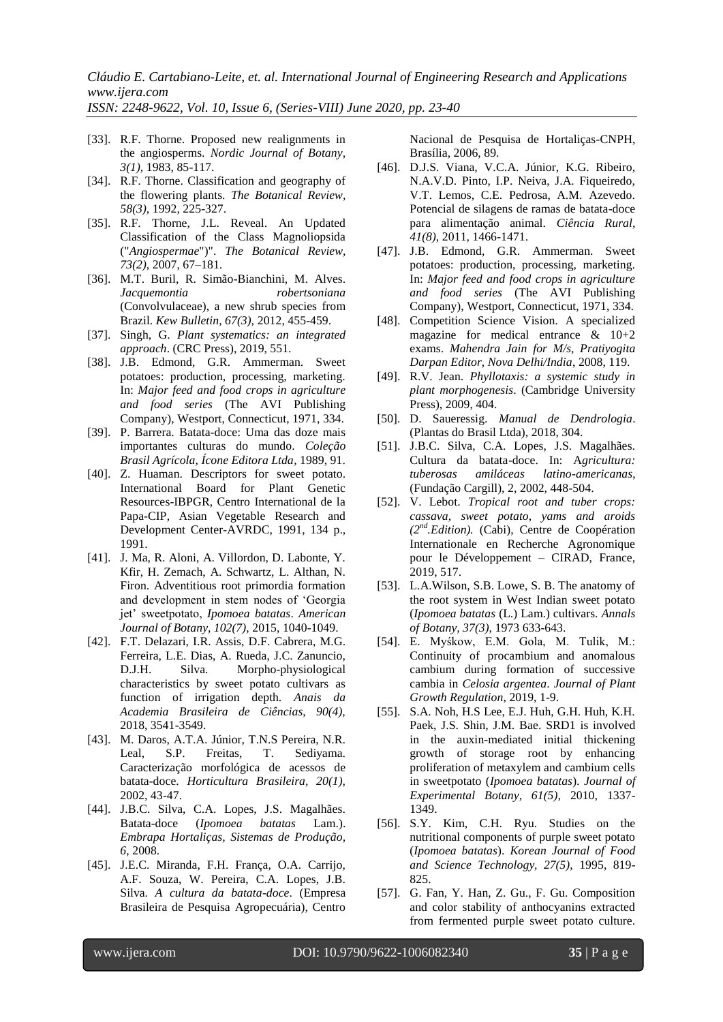*ISSN: 2248-9622, Vol. 10, Issue 6, (Series-VIII) June 2020, pp. 23-40*

- [33]. R.F. Thorne. Proposed new realignments in the angiosperms. *Nordic Journal of Botany, 3(1)*, 1983, 85-117.
- [34]. R.F. Thorne. Classification and geography of the flowering plants. *The Botanical Review, 58(3)*, 1992, 225-327.
- [35]. R.F. Thorne, J.L. Reveal. An Updated Classification of the Class Magnoliopsida ("*Angiospermae*")". *The Botanical Review, 73(2)*, 2007, 67–181.
- [36]. M.T. Buril, R. Simão-Bianchini, M. Alves. *Jacquemontia robertsoniana* (Convolvulaceae), a new shrub species from Brazil. *Kew Bulletin, 67(3),* 2012, 455-459.
- [37]. Singh, G. *Plant systematics: an integrated approach*. (CRC Press), 2019, 551.
- [38]. J.B. Edmond, G.R. Ammerman. Sweet potatoes: production, processing, marketing. In: *Major feed and food crops in agriculture and food series* (The AVI Publishing Company), Westport, Connecticut, 1971, 334.
- [39]. P. Barrera. Batata-doce: Uma das doze mais importantes culturas do mundo. *Coleção Brasil Agrícola, Ícone Editora Ltda*, 1989, 91.
- [40]. Z. Huaman. Descriptors for sweet potato. International Board for Plant Genetic Resources-IBPGR, Centro International de la Papa-CIP, Asian Vegetable Research and Development Center-AVRDC, 1991, 134 p., 1991.
- [41]. J. Ma, R. Aloni, A. Villordon, D. Labonte, Y. Kfir, H. Zemach, A. Schwartz, L. Althan, N. Firon. Adventitious root primordia formation and development in stem nodes of "Georgia jet" sweetpotato, *Ipomoea batatas*. *American Journal of Botany, 102(7)*, 2015, 1040-1049.
- [42]. F.T. Delazari, I.R. Assis, D.F. Cabrera, M.G. Ferreira, L.E. Dias, A. Rueda, J.C. Zanuncio, D.J.H. Silva. Morpho-physiological characteristics by sweet potato cultivars as function of irrigation depth. *Anais da Academia Brasileira de Ciências, 90(4),* 2018, 3541-3549.
- [43]. M. Daros, A.T.A. Júnior, T.N.S Pereira, N.R. Leal, S.P. Freitas, T. Sediyama. Caracterização morfológica de acessos de batata-doce. *Horticultura Brasileira, 20(1),* 2002, 43-47.
- [44]. J.B.C. Silva, C.A. Lopes, J.S. Magalhães. Batata-doce (*Ipomoea batatas* Lam.). *Embrapa Hortaliças, Sistemas de Produção, 6,* 2008.
- [45]. J.E.C. Miranda, F.H. França, O.A. Carrijo, A.F. Souza, W. Pereira, C.A. Lopes, J.B. Silva. *A cultura da batata-doce*. (Empresa Brasileira de Pesquisa Agropecuária), Centro

Nacional de Pesquisa de Hortaliças-CNPH, Brasília, 2006, 89.

- [46]. D.J.S. Viana, V.C.A. Júnior, K.G. Ribeiro, N.A.V.D. Pinto, I.P. Neiva, J.A. Fiqueiredo, V.T. Lemos, C.E. Pedrosa, A.M. Azevedo. Potencial de silagens de ramas de batata-doce para alimentação animal. *Ciência Rural, 41(8)*, 2011, 1466-1471.
- [47]. J.B. Edmond, G.R. Ammerman. Sweet potatoes: production, processing, marketing. In: *Major feed and food crops in agriculture and food series* (The AVI Publishing Company), Westport, Connecticut, 1971, 334.
- [48]. Competition Science Vision. A specialized magazine for medical entrance & 10+2 exams. *Mahendra Jain for M/s, Pratiyogita Darpan Editor, Nova Delhi/India*, 2008, 119.
- [49]. R.V. Jean. *Phyllotaxis: a systemic study in plant morphogenesis*. (Cambridge University Press), 2009, 404.
- [50]. D. Saueressig. *Manual de Dendrologia*. (Plantas do Brasil Ltda), 2018, 304.
- [51]. J.B.C. Silva, C.A. Lopes, J.S. Magalhães. Cultura da batata-doce. In: A*gricultura: tuberosas amiláceas latino-americanas*, (Fundação Cargill), 2, 2002, 448-504.
- [52]. V. Lebot. *Tropical root and tuber crops: cassava, sweet potato, yams and aroids (2nd.Edition).* (Cabi), Centre de Coopération Internationale en Recherche Agronomique pour le Développement – CIRAD, France, 2019, 517.
- [53]. L.A.Wilson, S.B. Lowe, S. B. The anatomy of the root system in West Indian sweet potato (*Ipomoea batatas* (L.) Lam.) cultivars. *Annals of Botany, 37(3)*, 1973 633-643.
- [54]. E. Myśkow, E.M. Gola, M. Tulik, M.: Continuity of procambium and anomalous cambium during formation of successive cambia in *Celosia argentea*. *Journal of Plant Growth Regulation*, 2019, 1-9.
- [55]. S.A. Noh, H.S Lee, E.J. Huh, G.H. Huh, K.H. Paek, J.S. Shin, J.M. Bae. SRD1 is involved in the auxin-mediated initial thickening growth of storage root by enhancing proliferation of metaxylem and cambium cells in sweetpotato (*Ipomoea batatas*). *Journal of Experimental Botany, 61(5)*, 2010, 1337- 1349.
- [56]. S.Y. Kim, C.H. Ryu. Studies on the nutritional components of purple sweet potato (*Ipomoea batatas*). *Korean Journal of Food and Science Technology, 27(5)*, 1995, 819- 825.
- [57]. G. Fan, Y. Han, Z. Gu., F. Gu. Composition and color stability of anthocyanins extracted from fermented purple sweet potato culture.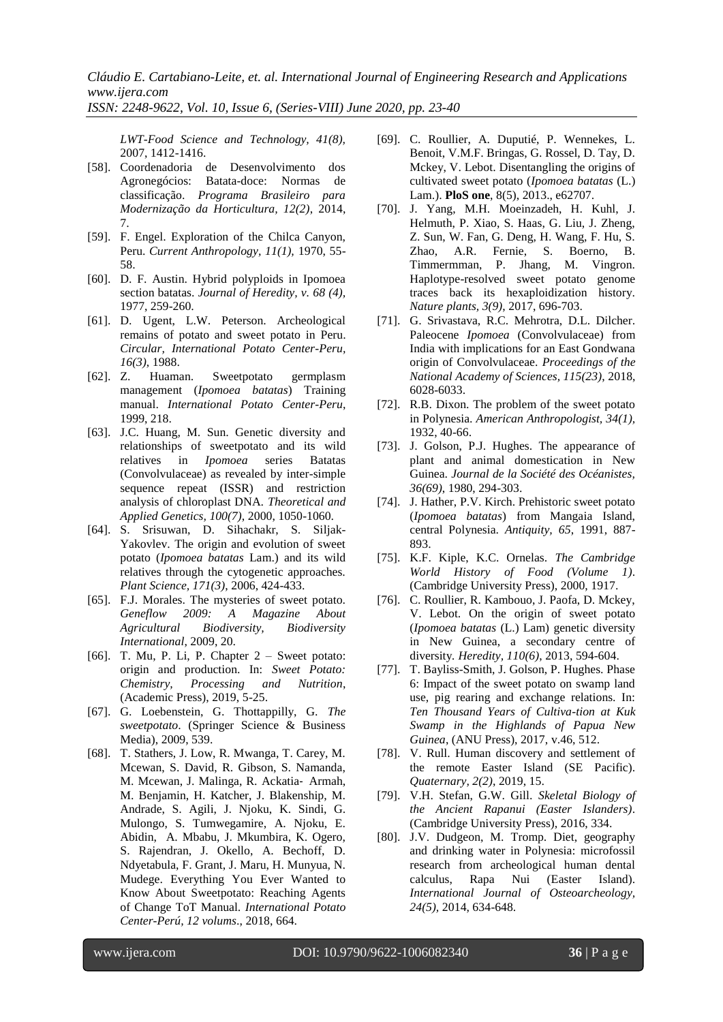*ISSN: 2248-9622, Vol. 10, Issue 6, (Series-VIII) June 2020, pp. 23-40*

*LWT-Food Science and Technology, 41(8),* 2007, 1412-1416.

- [58]. Coordenadoria de Desenvolvimento dos Agronegócios: Batata-doce: Normas de classificação. *Programa Brasileiro para Modernização da Horticultura, 12(2)*, 2014, 7.
- [59]. F. Engel. Exploration of the Chilca Canyon, Peru. *Current Anthropology, 11(1),* 1970, 55- 58.
- [60]. D. F. Austin. Hybrid polyploids in Ipomoea section batatas. *Journal of Heredity, v. 68 (4),* 1977, 259-260.
- [61]. D. Ugent, L.W. Peterson. Archeological remains of potato and sweet potato in Peru. *Circular, International Potato Center-Peru, 16(3)*, 1988.
- [62]. Z. Huaman. Sweetpotato germplasm management (*Ipomoea batatas*) Training manual. *International Potato Center-Peru*, 1999, 218.
- [63]. J.C. Huang, M. Sun. Genetic diversity and relationships of sweetpotato and its wild relatives in *Ipomoea* series Batatas (Convolvulaceae) as revealed by inter-simple sequence repeat (ISSR) and restriction analysis of chloroplast DNA. *Theoretical and Applied Genetics, 100(7)*, 2000, 1050-1060.
- [64]. S. Srisuwan, D. Sihachakr, S. Siljak-Yakovlev. The origin and evolution of sweet potato (*Ipomoea batatas* Lam.) and its wild relatives through the cytogenetic approaches. *Plant Science, 171(3)*, 2006, 424-433.
- [65]. F.J. Morales. The mysteries of sweet potato. *Geneflow 2009: A Magazine About Agricultural Biodiversity, Biodiversity International*, 2009, 20.
- [66]. T. Mu, P. Li, P. Chapter  $2 -$  Sweet potato: origin and production. In: *Sweet Potato: Chemistry, Processing and* (Academic Press), 2019, 5-25.
- [67]. G. Loebenstein, G. Thottappilly, G. *The sweetpotato*. (Springer Science & Business Media), 2009, 539.
- [68]. T. Stathers, J. Low, R. Mwanga, T. Carey, M. Mcewan, S. David, R. Gibson, S. Namanda, M. Mcewan, J. Malinga, R. Ackatia‐ Armah, M. Benjamin, H. Katcher, J. Blakenship, M. Andrade, S. Agili, J. Njoku, K. Sindi, G. Mulongo, S. Tumwegamire, A. Njoku, E. Abidin, A. Mbabu, J. Mkumbira, K. Ogero, S. Rajendran, J. Okello, A. Bechoff, D. Ndyetabula, F. Grant, J. Maru, H. Munyua, N. Mudege. Everything You Ever Wanted to Know About Sweetpotato: Reaching Agents of Change ToT Manual. *International Potato Center-Perú, 12 volums*., 2018, 664.
- [69]. C. Roullier, A. Duputié, P. Wennekes, L. Benoit, V.M.F. Bringas, G. Rossel, D. Tay, D. Mckey, V. Lebot. Disentangling the origins of cultivated sweet potato (*Ipomoea batatas* (L.) Lam.). **PloS one**, 8(5), 2013., e62707.
- [70]. J. Yang, M.H. Moeinzadeh, H. Kuhl, J. Helmuth, P. Xiao, S. Haas, G. Liu, J. Zheng, Z. Sun, W. Fan, G. Deng, H. Wang, F. Hu, S. Zhao, A.R. Fernie, S. Boerno, B. Timmermman, P. Jhang, M. Vingron. Haplotype-resolved sweet potato genome traces back its hexaploidization history. *Nature plants, 3(9)*, 2017, 696-703.
- [71]. G. Srivastava, R.C. Mehrotra, D.L. Dilcher. Paleocene *Ipomoea* (Convolvulaceae) from India with implications for an East Gondwana origin of Convolvulaceae. *Proceedings of the National Academy of Sciences, 115(23)*, 2018, 6028-6033.
- [72]. R.B. Dixon. The problem of the sweet potato in Polynesia. *American Anthropologist, 34(1),* 1932, 40-66.
- [73]. J. Golson, P.J. Hughes. The appearance of plant and animal domestication in New Guinea. *Journal de la Société des Océanistes, 36(69)*, 1980, 294-303.
- [74]. J. Hather, P.V. Kirch. Prehistoric sweet potato (*Ipomoea batatas*) from Mangaia Island, central Polynesia. *Antiquity, 65*, 1991, 887- 893.
- [75]. K.F. Kiple, K.C. Ornelas. *The Cambridge World History of Food (Volume 1)*. (Cambridge University Press), 2000, 1917.
- [76]. C. Roullier, R. Kambouo, J. Paofa, D. Mckey, V. Lebot. On the origin of sweet potato (*Ipomoea batatas* (L.) Lam) genetic diversity in New Guinea, a secondary centre of diversity*. Heredity, 110(6)*, 2013, 594-604.
- [77]. T. Bayliss-Smith, J. Golson, P. Hughes. Phase 6: Impact of the sweet potato on swamp land use, pig rearing and exchange relations. In: *Ten Thousand Years of Cultiva-tion at Kuk Swamp in the Highlands of Papua New Guinea*, (ANU Press), 2017, v.46, 512.
- [78]. V. Rull. Human discovery and settlement of the remote Easter Island (SE Pacific). *Quaternary, 2(2)*, 2019, 15.
- [79]. V.H. Stefan, G.W. Gill. *Skeletal Biology of the Ancient Rapanui (Easter Islanders)*. (Cambridge University Press), 2016, 334.
- [80]. J.V. Dudgeon, M. Tromp. Diet, geography and drinking water in Polynesia: microfossil research from archeological human dental calculus, Rapa Nui (Easter Island). *International Journal of Osteoarcheology, 24(5),* 2014, 634-648.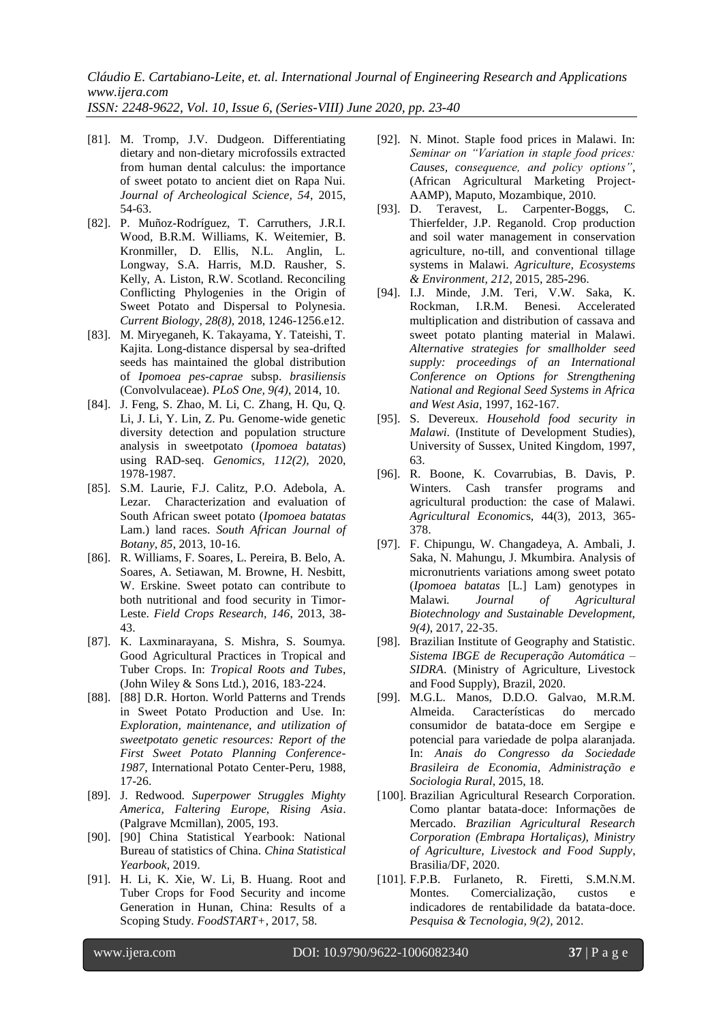*ISSN: 2248-9622, Vol. 10, Issue 6, (Series-VIII) June 2020, pp. 23-40*

- [81]. M. Tromp, J.V. Dudgeon. Differentiating dietary and non-dietary microfossils extracted from human dental calculus: the importance of sweet potato to ancient diet on Rapa Nui. *Journal of Archeological Science, 54*, 2015, 54-63.
- [82]. P. Muñoz-Rodríguez, T. Carruthers, J.R.I. Wood, B.R.M. Williams, K. Weitemier, B. Kronmiller, D. Ellis, N.L. Anglin, L. Longway, S.A. Harris, M.D. Rausher, S. Kelly, A. Liston, R.W. Scotland. Reconciling Conflicting Phylogenies in the Origin of Sweet Potato and Dispersal to Polynesia. *Current Biology, 28(8),* 2018, 1246-1256.e12.
- [83]. M. Miryeganeh, K. Takayama, Y. Tateishi, T. Kajita. Long-distance dispersal by sea-drifted seeds has maintained the global distribution of *Ipomoea pes-caprae* subsp. *brasiliensis* (Convolvulaceae). *PLoS One, 9(4)*, 2014, 10.
- [84]. J. Feng, S. Zhao, M. Li, C. Zhang, H. Qu, Q. Li, J. Li, Y. Lin, Z. Pu. Genome-wide genetic diversity detection and population structure analysis in sweetpotato (*Ipomoea batatas*) using RAD-seq. *Genomics, 112(2),* 2020, 1978-1987.
- [85]. S.M. Laurie, F.J. Calitz, P.O. Adebola, A. Lezar. Characterization and evaluation of South African sweet potato (*Ipomoea batatas* Lam.) land races. *South African Journal of Botany, 85*, 2013, 10-16.
- [86]. R. Williams, F. Soares, L. Pereira, B. Belo, A. Soares, A. Setiawan, M. Browne, H. Nesbitt, W. Erskine. Sweet potato can contribute to both nutritional and food security in Timor-Leste. *Field Crops Research, 146*, 2013, 38- 43.
- [87]. K. Laxminarayana, S. Mishra, S. Soumya. Good Agricultural Practices in Tropical and Tuber Crops. In: *Tropical Roots and Tubes*, (John Wiley & Sons Ltd.), 2016, 183-224.
- [88]. [88] D.R. Horton. World Patterns and Trends in Sweet Potato Production and Use. In: *Exploration, maintenance, and utilization of sweetpotato genetic resources: Report of the First Sweet Potato Planning Conference-1987*, International Potato Center-Peru, 1988, 17-26.
- [89]. J. Redwood. *Superpower Struggles Mighty America, Faltering Europe, Rising Asia*. (Palgrave Mcmillan), 2005, 193.
- [90]. [90] China Statistical Yearbook: National Bureau of statistics of China. *China Statistical Yearbook*, 2019.
- [91]. H. Li, K. Xie, W. Li, B. Huang. Root and Tuber Crops for Food Security and income Generation in Hunan, China: Results of a Scoping Study. *FoodSTART+*, 2017, 58.
- [92]. N. Minot. Staple food prices in Malawi. In: *Seminar on "Variation in staple food prices: Causes, consequence, and policy options"*, (African Agricultural Marketing Project-AAMP), Maputo, Mozambique, 2010.
- [93]. D. Teravest, L. Carpenter-Boggs, C. Thierfelder, J.P. Reganold. Crop production and soil water management in conservation agriculture, no-till, and conventional tillage systems in Malawi. *Agriculture, Ecosystems & Environment, 212*, 2015, 285-296.
- [94]. I.J. Minde, J.M. Teri, V.W. Saka, K. Rockman, I.R.M. Benesi. Accelerated multiplication and distribution of cassava and sweet potato planting material in Malawi. *Alternative strategies for smallholder seed supply: proceedings of an International Conference on Options for Strengthening National and Regional Seed Systems in Africa and West Asia*, 1997, 162-167.
- [95]. S. Devereux. *Household food security in Malawi*. (Institute of Development Studies), University of Sussex, United Kingdom, 1997, 63.
- [96]. R. Boone, K. Covarrubias, B. Davis, P. Winters. Cash transfer programs and agricultural production: the case of Malawi. *Agricultural Economic*s, 44(3), 2013, 365- 378.
- [97]. F. Chipungu, W. Changadeya, A. Ambali, J. Saka, N. Mahungu, J. Mkumbira. Analysis of micronutrients variations among sweet potato (*Ipomoea batatas* [L.] Lam) genotypes in Malawi*. Journal of Agricultural Biotechnology and Sustainable Development, 9(4)*, 2017, 22-35.
- [98]. Brazilian Institute of Geography and Statistic. *Sistema IBGE de Recuperação Automática – SIDRA*. (Ministry of Agriculture, Livestock and Food Supply), Brazil, 2020.
- [99]. M.G.L. Manos, D.D.O. Galvao, M.R.M. Almeida. Características do mercado consumidor de batata-doce em Sergipe e potencial para variedade de polpa alaranjada. In: *Anais do Congresso da Sociedade Brasileira de Economia, Administração e Sociologia Rural*, 2015, 18.
- [100]. Brazilian Agricultural Research Corporation. Como plantar batata-doce: Informações de Mercado. *Brazilian Agricultural Research Corporation (Embrapa Hortaliças), Ministry of Agriculture, Livestock and Food Supply*, Brasilia/DF, 2020.
- [101]. F.P.B. Furlaneto, R. Firetti, S.M.N.M. Montes. Comercialização, custos e indicadores de rentabilidade da batata-doce. *Pesquisa & Tecnologia, 9(2)*, 2012.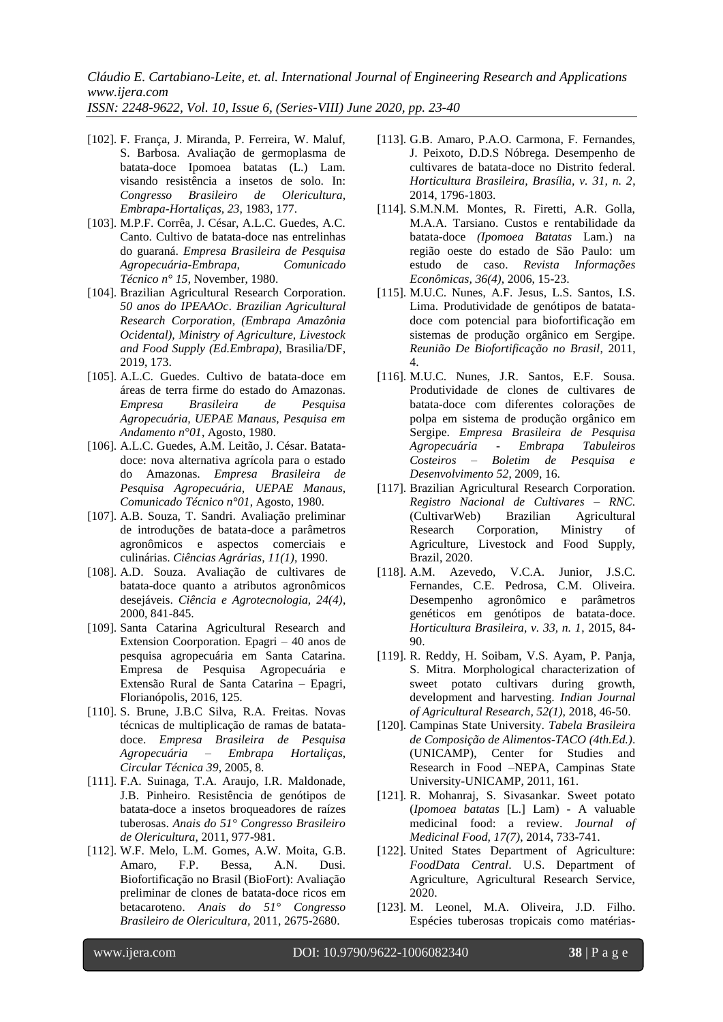*ISSN: 2248-9622, Vol. 10, Issue 6, (Series-VIII) June 2020, pp. 23-40*

- [102]. F. França, J. Miranda, P. Ferreira, W. Maluf, S. Barbosa. Avaliação de germoplasma de batata-doce Ipomoea batatas (L.) Lam. visando resistência a insetos de solo. In:<br>Congresso Brasileiro de Olericultura, *Congresso Brasileiro de Olericultura, Embrapa-Hortaliças, 23*, 1983, 177.
- [103]. M.P.F. Corrêa, J. César, A.L.C. Guedes, A.C. Canto. Cultivo de batata-doce nas entrelinhas do guaraná. *Empresa Brasileira de Pesquisa Agropecuária-Embrapa, Comunicado Técnico n° 15*, November, 1980.
- [104]. Brazilian Agricultural Research Corporation. *50 anos do IPEAAOc*. *Brazilian Agricultural Research Corporation, (Embrapa Amazônia Ocidental), Ministry of Agriculture, Livestock and Food Supply (Ed.Embrapa)*, Brasilia/DF, 2019, 173.
- [105]. A.L.C. Guedes. Cultivo de batata-doce em áreas de terra firme do estado do Amazonas. *Empresa Brasileira de Pesquisa Agropecuária, UEPAE Manaus, Pesquisa em Andamento n°01*, Agosto, 1980.
- [106]. A.L.C. Guedes, A.M. Leitão, J. César. Batatadoce: nova alternativa agrícola para o estado do Amazonas. *Empresa Brasileira de Pesquisa Agropecuária, UEPAE Manaus, Comunicado Técnico n°01*, Agosto, 1980.
- [107]. A.B. Souza, T. Sandri. Avaliação preliminar de introduções de batata-doce a parâmetros agronômicos e aspectos comerciais e culinárias. *Ciências Agrárias, 11(1)*, 1990.
- [108]. A.D. Souza. Avaliação de cultivares de batata-doce quanto a atributos agronômicos desejáveis. *Ciência e Agrotecnologia, 24(4)*, 2000, 841-845.
- [109]. Santa Catarina Agricultural Research and Extension Coorporation. Epagri – 40 anos de pesquisa agropecuária em Santa Catarina. Empresa de Pesquisa Agropecuária e Extensão Rural de Santa Catarina – Epagri, Florianópolis, 2016, 125.
- [110]. S. Brune, J.B.C Silva, R.A. Freitas. Novas técnicas de multiplicação de ramas de batatadoce. *Empresa Brasileira de Pesquisa Agropecuária – Embrapa Hortaliças, Circular Técnica 39*, 2005, 8.
- [111]. F.A. Suinaga, T.A. Araujo, I.R. Maldonade, J.B. Pinheiro. Resistência de genótipos de batata-doce a insetos broqueadores de raízes tuberosas. *Anais do 51° Congresso Brasileiro de Olericultura*, 2011, 977-981.
- [112]. W.F. Melo, L.M. Gomes, A.W. Moita, G.B. Amaro, F.P. Bessa, A.N. Dusi. Biofortificação no Brasil (BioFort): Avaliação preliminar de clones de batata-doce ricos em betacaroteno. *Anais do 51° Congresso Brasileiro de Olericultura,* 2011, 2675-2680.
- [113]. G.B. Amaro, P.A.O. Carmona, F. Fernandes, J. Peixoto, D.D.S Nóbrega. Desempenho de cultivares de batata-doce no Distrito federal. *Horticultura Brasileira, Brasília, v. 31, n. 2*, 2014, 1796-1803.
- [114]. S.M.N.M. Montes, R. Firetti, A.R. Golla, M.A.A. Tarsiano. Custos e rentabilidade da batata-doce *(Ipomoea Batatas* Lam.) na região oeste do estado de São Paulo: um estudo de caso. *Revista Informações Econômicas, 36(4)*, 2006, 15-23.
- [115]. M.U.C. Nunes, A.F. Jesus, L.S. Santos, I.S. Lima. Produtividade de genótipos de batatadoce com potencial para biofortificação em sistemas de produção orgânico em Sergipe. *Reunião De Biofortificação no Brasil*, 2011, 4.
- [116]. M.U.C. Nunes, J.R. Santos, E.F. Sousa. Produtividade de clones de cultivares de batata-doce com diferentes colorações de polpa em sistema de produção orgânico em Sergipe. *Empresa Brasileira de Pesquisa Agropecuária - Embrapa Tabuleiros Costeiros – Boletim de Pesquisa e Desenvolvimento 52*, 2009, 16.
- [117]. Brazilian Agricultural Research Corporation. *Registro Nacional de Cultivares – RNC*. (CultivarWeb) Brazilian Agricultural Research Corporation, Ministry of Agriculture, Livestock and Food Supply, Brazil, 2020.
- [118]. A.M. Azevedo, V.C.A. Junior, J.S.C. Fernandes, C.E. Pedrosa, C.M. Oliveira. Desempenho agronômico e parâmetros genéticos em genótipos de batata-doce. *Horticultura Brasileira, v. 33, n. 1*, 2015, 84- 90.
- [119]. R. Reddy, H. Soibam, V.S. Ayam, P. Panja, S. Mitra. Morphological characterization of sweet potato cultivars during growth, development and harvesting. *Indian Journal of Agricultural Research, 52(1),* 2018, 46-50.
- [120]. Campinas State University. *Tabela Brasileira de Composição de Alimentos-TACO (4th.Ed.)*. (UNICAMP), Center for Studies and Research in Food –NEPA, Campinas State University-UNICAMP, 2011, 161.
- [121]. R. Mohanraj, S. Sivasankar. Sweet potato (*Ipomoea batatas* [L.] Lam) - A valuable medicinal food: a review. *Journal of Medicinal Food, 17(7)*, 2014, 733-741.
- [122]. United States Department of Agriculture: *FoodData Central*. U.S. Department of Agriculture, Agricultural Research Service, 2020.
- [123]. M. Leonel, M.A. Oliveira, J.D. Filho. Espécies tuberosas tropicais como matérias-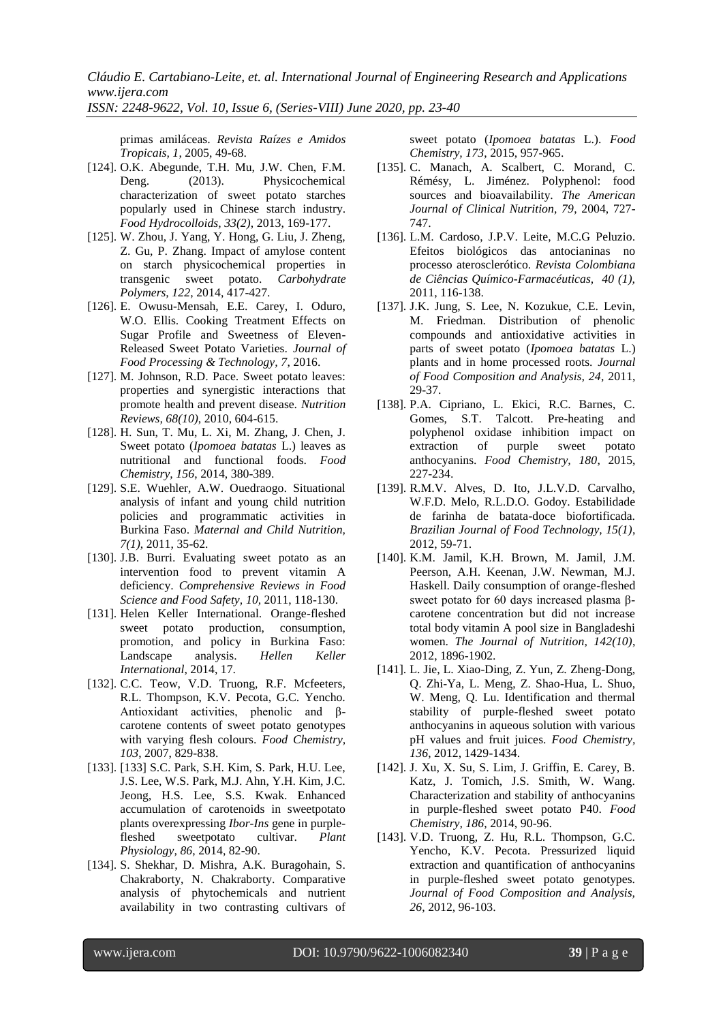*ISSN: 2248-9622, Vol. 10, Issue 6, (Series-VIII) June 2020, pp. 23-40*

primas amiláceas. *Revista Raízes e Amidos Tropicais, 1*, 2005, 49-68.

- [124]. O.K. Abegunde, T.H. Mu, J.W. Chen, F.M. Deng. (2013). Physicochemical characterization of sweet potato starches popularly used in Chinese starch industry. *Food Hydrocolloids, 33(2)*, 2013, 169-177.
- [125]. W. Zhou, J. Yang, Y. Hong, G. Liu, J. Zheng, Z. Gu, P. Zhang. Impact of amylose content on starch physicochemical properties in transgenic sweet potato. *Carbohydrate Polymers, 122*, 2014, 417-427.
- [126]. E. Owusu-Mensah, E.E. Carey, I. Oduro, W.O. Ellis. Cooking Treatment Effects on Sugar Profile and Sweetness of Eleven-Released Sweet Potato Varieties. *Journal of Food Processing & Technology, 7*, 2016.
- [127]. M. Johnson, R.D. Pace. Sweet potato leaves: properties and synergistic interactions that promote health and prevent disease. *Nutrition Reviews, 68(10)*, 2010, 604-615.
- [128]. H. Sun, T. Mu, L. Xi, M. Zhang, J. Chen, J. Sweet potato (*Ipomoea batatas* L.) leaves as nutritional and functional foods. *Food Chemistry, 156*, 2014, 380-389.
- [129]. S.E. Wuehler, A.W. Ouedraogo. Situational analysis of infant and young child nutrition policies and programmatic activities in Burkina Faso. *Maternal and Child Nutrition, 7(1)*, 2011, 35-62.
- [130]. J.B. Burri. Evaluating sweet potato as an intervention food to prevent vitamin A deficiency. *Comprehensive Reviews in Food Science and Food Safety, 10,* 2011, 118-130.
- [131]. Helen Keller International. Orange-fleshed sweet potato production, consumption, promotion, and policy in Burkina Faso: Landscape analysis. *Hellen Keller International*, 2014, 17.
- [132]. C.C. Teow, V.D. Truong, R.F. Mcfeeters, R.L. Thompson, K.V. Pecota, G.C. Yencho. Antioxidant activities, phenolic and βcarotene contents of sweet potato genotypes with varying flesh colours. *Food Chemistry, 103*, 2007, 829-838.
- [133]. [133] S.C. Park, S.H. Kim, S. Park, H.U. Lee, J.S. Lee, W.S. Park, M.J. Ahn, Y.H. Kim, J.C. Jeong, H.S. Lee, S.S. Kwak. Enhanced accumulation of carotenoids in sweetpotato plants overexpressing *Ibor-Ins* gene in purplefleshed sweetpotato cultivar. *Plant Physiology, 86*, 2014, 82-90.
- [134]. S. Shekhar, D. Mishra, A.K. Buragohain, S. Chakraborty, N. Chakraborty. Comparative analysis of phytochemicals and nutrient availability in two contrasting cultivars of

sweet potato (*Ipomoea batatas* L.). *Food Chemistry, 173*, 2015, 957-965.

- [135]. C. Manach, A. Scalbert, C. Morand, C. Rémésy, L. Jiménez. Polyphenol: food sources and bioavailability. *The American Journal of Clinical Nutrition, 79*, 2004, 727- 747.
- [136]. L.M. Cardoso, J.P.V. Leite, M.C.G Peluzio. Efeitos biológicos das antocianinas no processo aterosclerótico. *Revista Colombiana de Ciências Químico-Farmacéuticas, 40 (1),* 2011, 116-138.
- [137]. J.K. Jung, S. Lee, N. Kozukue, C.E. Levin, M. Friedman. Distribution of phenolic compounds and antioxidative activities in parts of sweet potato (*Ipomoea batatas* L.) plants and in home processed roots. *Journal of Food Composition and Analysis, 24*, 2011, 29-37.
- [138]. P.A. Cipriano, L. Ekici, R.C. Barnes, C. Gomes, S.T. Talcott. Pre-heating and polyphenol oxidase inhibition impact on extraction of purple sweet potato anthocyanins. *Food Chemistry, 180*, 2015, 227-234.
- [139]. R.M.V. Alves, D. Ito, J.L.V.D. Carvalho, W.F.D. Melo, R.L.D.O. Godoy. Estabilidade de farinha de batata-doce biofortificada. *Brazilian Journal of Food Technology, 15(1)*, 2012, 59-71.
- [140]. K.M. Jamil, K.H. Brown, M. Jamil, J.M. Peerson, A.H. Keenan, J.W. Newman, M.J. Haskell. Daily consumption of orange-fleshed sweet potato for 60 days increased plasma βcarotene concentration but did not increase total body vitamin A pool size in Bangladeshi women. *The Journal of Nutrition, 142(10)*, 2012, 1896-1902.
- [141]. L. Jie, L. Xiao-Ding, Z. Yun, Z. Zheng-Dong, Q. Zhi-Ya, L. Meng, Z. Shao-Hua, L. Shuo, W. Meng, Q. Lu. Identification and thermal stability of purple-fleshed sweet potato anthocyanins in aqueous solution with various pH values and fruit juices. *Food Chemistry, 136*, 2012, 1429-1434.
- [142]. J. Xu, X. Su, S. Lim, J. Griffin, E. Carey, B. Katz, J. Tomich, J.S. Smith, W. Wang. Characterization and stability of anthocyanins in purple-fleshed sweet potato P40. *Food Chemistry, 186*, 2014, 90-96.
- [143]. V.D. Truong, Z. Hu, R.L. Thompson, G.C. Yencho, K.V. Pecota. Pressurized liquid extraction and quantification of anthocyanins in purple-fleshed sweet potato genotypes. *Journal of Food Composition and Analysis, 26*, 2012, 96-103.